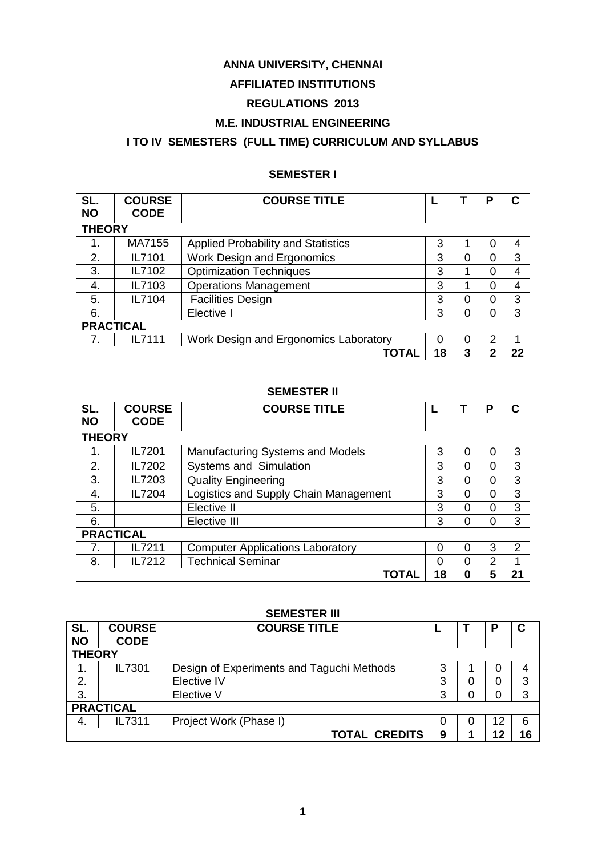## **ANNA UNIVERSITY, CHENNAI**

### **AFFILIATED INSTITUTIONS**

### **REGULATIONS 2013**

## **M.E. INDUSTRIAL ENGINEERING**

# **I TO IV SEMESTERS (FULL TIME) CURRICULUM AND SYLLABUS**

## **SEMESTER I**

| SL.<br><b>NO</b> | <b>COURSE</b><br><b>CODE</b> | <b>COURSE TITLE</b>                       |    |   | Р | С  |
|------------------|------------------------------|-------------------------------------------|----|---|---|----|
|                  | <b>THEORY</b>                |                                           |    |   |   |    |
| 1.               | MA7155                       | <b>Applied Probability and Statistics</b> | 3  |   | 0 | 4  |
| 2.               | IL7101                       | <b>Work Design and Ergonomics</b>         | 3  | 0 | 0 | 3  |
| 3.               | IL7102                       | <b>Optimization Techniques</b>            | 3  |   | 0 | 4  |
| 4.               | IL7103                       | <b>Operations Management</b>              | 3  |   | 0 | 4  |
| 5.               | IL7104                       | <b>Facilities Design</b>                  | 3  | 0 | 0 | 3  |
| 6.               |                              | Elective I                                | 3  | 0 | 0 | 3  |
| <b>PRACTICAL</b> |                              |                                           |    |   |   |    |
|                  | IL7111                       | Work Design and Ergonomics Laboratory     | 0  | 0 | 2 | 1  |
|                  |                              | TOTAL                                     | 18 | 3 | 2 | 22 |

### **SEMESTER II**

| SL.<br><b>NO</b> | <b>COURSE</b><br><b>CODE</b> | <b>COURSE TITLE</b>                     |    |   | Р |   |
|------------------|------------------------------|-----------------------------------------|----|---|---|---|
|                  | <b>THEORY</b>                |                                         |    |   |   |   |
| 1.               | IL7201                       | Manufacturing Systems and Models        | 3  | 0 | 0 | 3 |
| 2.               | IL7202                       | <b>Systems and Simulation</b>           | 3  | 0 | 0 | 3 |
| 3.               | IL7203                       | <b>Quality Engineering</b>              | 3  | 0 | 0 | 3 |
| 4.               | IL7204                       | Logistics and Supply Chain Management   | 3  | 0 | 0 | 3 |
| 5.               |                              | Elective II                             | 3  | 0 | 0 | 3 |
| 6.               |                              | Elective III                            | 3  | 0 | 0 | 3 |
| <b>PRACTICAL</b> |                              |                                         |    |   |   |   |
| 7.               | IL7211                       | <b>Computer Applications Laboratory</b> | 0  | 0 | 3 | 2 |
| 8.               | IL7212                       | <b>Technical Seminar</b>                | 0  | 0 | っ |   |
|                  |                              | TOTAL                                   | 18 | 0 | 5 |   |

### **SEMESTER III**

| SL.       | <b>COURSE</b>    | <b>COURSE TITLE</b>                       |   |   | Р  | C  |  |  |  |
|-----------|------------------|-------------------------------------------|---|---|----|----|--|--|--|
| <b>NO</b> | <b>CODE</b>      |                                           |   |   |    |    |  |  |  |
|           | <b>THEORY</b>    |                                           |   |   |    |    |  |  |  |
|           | IL7301           | Design of Experiments and Taguchi Methods | 3 |   | 0  | 4  |  |  |  |
| 2.        |                  | Elective IV                               | 3 | 0 | 0  | 3  |  |  |  |
| 3.        |                  | Elective V                                | 3 |   | 0  | 3  |  |  |  |
|           | <b>PRACTICAL</b> |                                           |   |   |    |    |  |  |  |
| 4.        | IL7311           | Project Work (Phase I)                    | 0 | 0 | 12 | 6  |  |  |  |
|           |                  | <b>TOTAL CREDITS</b>                      | 9 |   | 12 | 16 |  |  |  |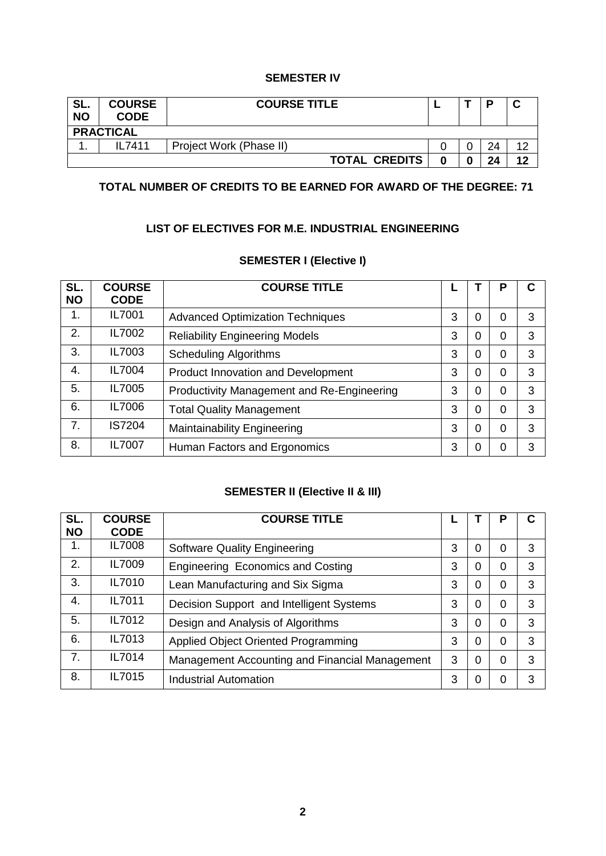### **SEMESTER IV**

| SL.<br><b>NO</b> | <b>COURSE</b><br><b>CODE</b> | <b>COURSE TITLE</b>     |   |    |        |
|------------------|------------------------------|-------------------------|---|----|--------|
|                  | <b>PRACTICAL</b>             |                         |   |    |        |
| . .              | II 7411                      | Project Work (Phase II) |   | 24 | $\sim$ |
|                  |                              | <b>TOTAL CREDITS</b>    | 0 | 24 | 12     |

## **TOTAL NUMBER OF CREDITS TO BE EARNED FOR AWARD OF THE DEGREE: 71**

### **LIST OF ELECTIVES FOR M.E. INDUSTRIAL ENGINEERING**

### **SEMESTER I (Elective I)**

| SL.<br><b>NO</b> | <b>COURSE</b><br><b>CODE</b> | <b>COURSE TITLE</b>                        |   |   |   |   |
|------------------|------------------------------|--------------------------------------------|---|---|---|---|
| 1.               | IL7001                       | <b>Advanced Optimization Techniques</b>    | 3 | 0 | 0 | 3 |
| 2.               | IL7002                       | <b>Reliability Engineering Models</b>      | 3 | 0 | 0 | 3 |
| 3.               | IL7003                       | <b>Scheduling Algorithms</b>               | 3 | 0 | 0 | 3 |
| 4.               | IL7004                       | Product Innovation and Development         | 3 | 0 | 0 | 3 |
| 5.               | IL7005                       | Productivity Management and Re-Engineering | 3 | 0 | 0 | 3 |
| 6.               | IL7006                       | <b>Total Quality Management</b>            | 3 | 0 | 0 | 3 |
| 7.               | <b>IS7204</b>                | Maintainability Engineering                | 3 | 0 | 0 | 3 |
| 8.               | IL7007                       | Human Factors and Ergonomics               | 3 | 0 | 0 | 3 |

# **SEMESTER II (Elective II & III)**

| SL.<br><b>NO</b> | <b>COURSE</b><br><b>CODE</b> | <b>COURSE TITLE</b>                            |   |   | Р | C |
|------------------|------------------------------|------------------------------------------------|---|---|---|---|
| 1.               | IL7008                       | <b>Software Quality Engineering</b>            | 3 | 0 | 0 | 3 |
| 2.               | IL7009                       | Engineering Economics and Costing              | 3 | 0 | 0 | 3 |
| 3.               | IL7010                       | Lean Manufacturing and Six Sigma               | 3 | 0 | 0 | 3 |
| 4.               | IL7011                       | Decision Support and Intelligent Systems       | 3 | 0 | 0 | 3 |
| 5.               | IL7012                       | Design and Analysis of Algorithms              | 3 | 0 | 0 | 3 |
| 6.               | IL7013                       | Applied Object Oriented Programming            | 3 | 0 | 0 | 3 |
| 7.               | IL7014                       | Management Accounting and Financial Management | 3 | 0 | 0 | 3 |
| 8.               | IL7015                       | <b>Industrial Automation</b>                   | 3 | 0 | 0 | 3 |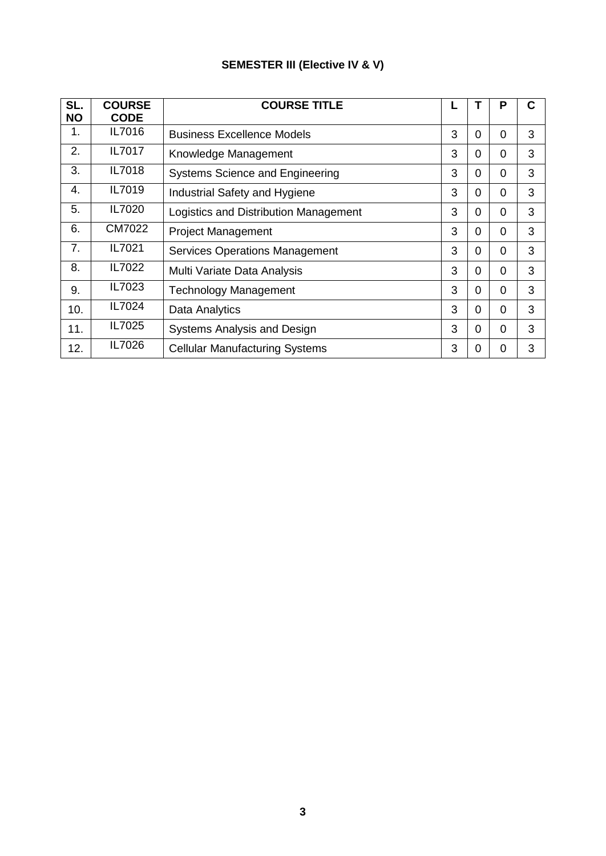# **SEMESTER III (Elective IV & V)**

| SL.<br><b>NO</b> | <b>COURSE</b><br><b>CODE</b> | <b>COURSE TITLE</b>                   |   |          | Ρ              | С |
|------------------|------------------------------|---------------------------------------|---|----------|----------------|---|
| 1.               | IL7016                       | <b>Business Excellence Models</b>     | 3 | 0        | 0              | 3 |
| 2.               | IL7017                       | Knowledge Management                  | 3 | 0        | 0              | 3 |
| 3.               | IL7018                       | Systems Science and Engineering       | 3 | 0        | 0              | 3 |
| 4.               | IL7019                       | Industrial Safety and Hygiene         | 3 | 0        | 0              | 3 |
| 5.               | IL7020                       | Logistics and Distribution Management | 3 | 0        | 0              | 3 |
| 6.               | CM7022                       | <b>Project Management</b>             | 3 | 0        | $\overline{0}$ | 3 |
| 7.               | IL7021                       | <b>Services Operations Management</b> | 3 | 0        | 0              | 3 |
| 8.               | IL7022                       | Multi Variate Data Analysis           | 3 | 0        | 0              | 3 |
| 9.               | IL7023                       | <b>Technology Management</b>          | 3 | 0        | 0              | 3 |
| 10.              | IL7024                       | Data Analytics                        | 3 | 0        | $\Omega$       | 3 |
| 11.              | IL7025                       | <b>Systems Analysis and Design</b>    | 3 | $\Omega$ | $\Omega$       | 3 |
| 12.              | IL7026                       | <b>Cellular Manufacturing Systems</b> | 3 | 0        | 0              | 3 |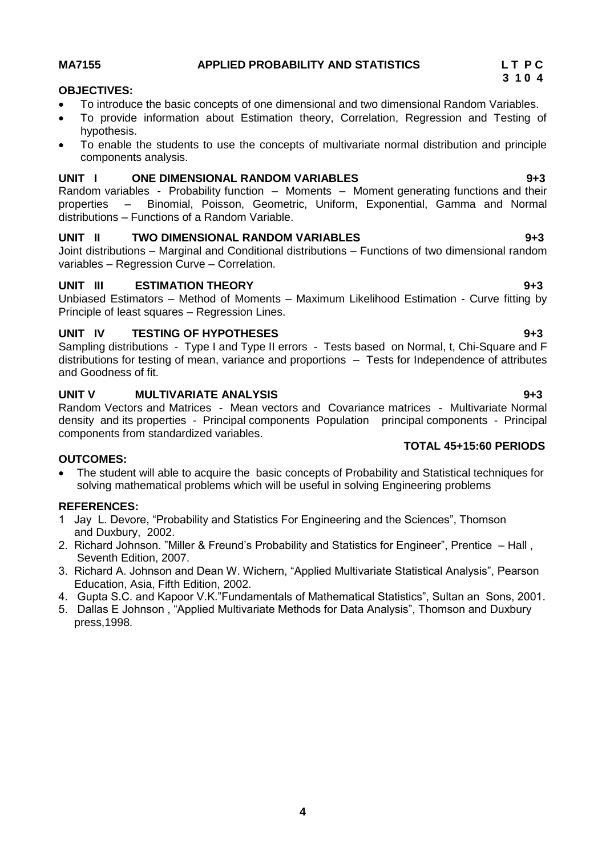### **MA7155 APPLIED PROBABILITY AND STATISTICS L T P C**

### **OBJECTIVES:**

- To introduce the basic concepts of one dimensional and two dimensional Random Variables.
- To provide information about Estimation theory, Correlation, Regression and Testing of hypothesis.
- To enable the students to use the concepts of multivariate normal distribution and principle components analysis.

### **UNIT I ONE DIMENSIONAL RANDOM VARIABLES 9+3**

Random variables - Probability function – Moments – Moment generating functions and their properties – Binomial, Poisson, Geometric, Uniform, Exponential, Gamma and Normal distributions – Functions of a Random Variable.

### **UNIT II TWO DIMENSIONAL RANDOM VARIABLES 9+3**

Joint distributions – Marginal and Conditional distributions – Functions of two dimensional random variables – Regression Curve – Correlation.

### **UNIT III ESTIMATION THEORY 9+3**

Unbiased Estimators – Method of Moments – Maximum Likelihood Estimation - Curve fitting by Principle of least squares – Regression Lines.

### **UNIT IV TESTING OF HYPOTHESES 9+3**

Sampling distributions - Type I and Type II errors - Tests based on Normal, t, Chi-Square and F distributions for testing of mean, variance and proportions – Tests for Independence of attributes and Goodness of fit.

### **UNIT V MULTIVARIATE ANALYSIS 9+3**

Random Vectors and Matrices - Mean vectors and Covariance matrices - Multivariate Normal density and its properties - Principal components Population principal components - Principal components from standardized variables. **TOTAL 45+15:60 PERIODS** 

### **OUTCOMES:**

 The student will able to acquire the basic concepts of Probability and Statistical techniques for solving mathematical problems which will be useful in solving Engineering problems

### **REFERENCES:**

- 1 Jay L. Devore, "Probability and Statistics For Engineering and the Sciences", Thomson and Duxbury, 2002.
- 2. Richard Johnson. "Miller & Freund"s Probability and Statistics for Engineer", Prentice Hall , Seventh Edition, 2007.
- 3. Richard A. Johnson and Dean W. Wichern, "Applied Multivariate Statistical Analysis", Pearson Education, Asia, Fifth Edition, 2002.
- 4. Gupta S.C. and Kapoor V.K."Fundamentals of Mathematical Statistics", Sultan an Sons, 2001.
- 5. Dallas E Johnson , "Applied Multivariate Methods for Data Analysis", Thomson and Duxbury press,1998.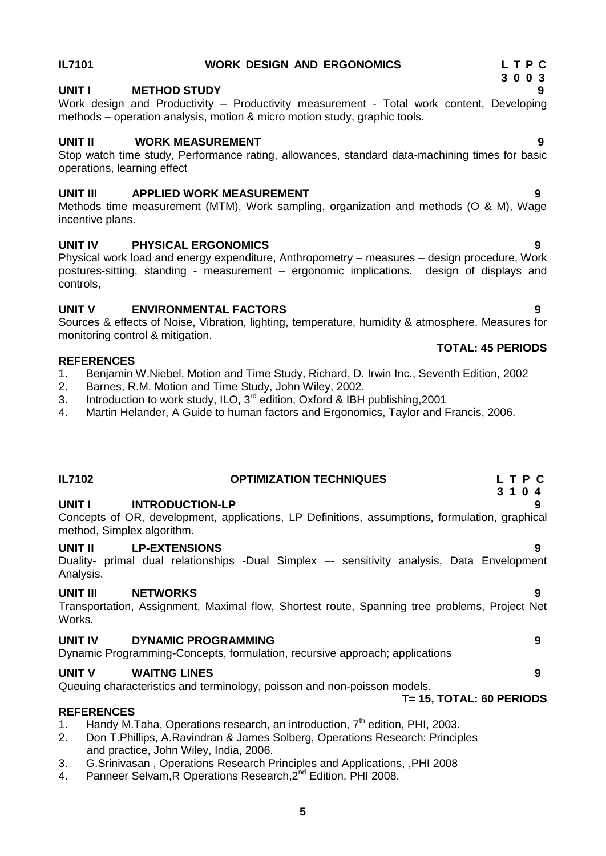# **IL7101 WORK DESIGN AND ERGONOMICS L T P C**

### **3 0 0 3 UNIT I METHOD STUDY 9**

Work design and Productivity – Productivity measurement - Total work content, Developing methods – operation analysis, motion & micro motion study, graphic tools.

### **UNIT II WORK MEASUREMENT 9**

Stop watch time study, Performance rating, allowances, standard data-machining times for basic operations, learning effect

### **UNIT III APPLIED WORK MEASUREMENT 9**

Methods time measurement (MTM), Work sampling, organization and methods (O & M), Wage incentive plans.

### **UNIT IV PHYSICAL ERGONOMICS 9**

Physical work load and energy expenditure, Anthropometry – measures – design procedure, Work postures-sitting, standing - measurement – ergonomic implications. design of displays and controls,

### **UNIT V ENVIRONMENTAL FACTORS 9**

Sources & effects of Noise, Vibration, lighting, temperature, humidity & atmosphere. Measures for monitoring control & mitigation.

### **REFERENCES**

- 1. Benjamin W.Niebel, Motion and Time Study, Richard, D. Irwin Inc., Seventh Edition, 2002
- 2. Barnes, R.M. Motion and Time Study, John Wiley, 2002.
- 3. Introduction to work study, ILO, 3<sup>rd</sup> edition, Oxford & IBH publishing, 2001
- 4. Martin Helander, A Guide to human factors and Ergonomics, Taylor and Francis, 2006.

### **IL7102 OPTIMIZATION TECHNIQUES L T P C 3 1 0 4 UNIT I INTRODUCTION-LP 9** Concepts of OR, development, applications, LP Definitions, assumptions, formulation, graphical method, Simplex algorithm. **UNIT II LP-EXTENSIONS 9** Duality- primal dual relationships -Dual Simplex –- sensitivity analysis, Data Envelopment Analysis. **UNIT III NETWORKS 9** Transportation, Assignment, Maximal flow, Shortest route, Spanning tree problems, Project Net Works. **UNIT IV DYNAMIC PROGRAMMING 9** Dynamic Programming-Concepts, formulation, recursive approach; applications **UNIT V WAITNG LINES** 9 Queuing characteristics and terminology, poisson and non-poisson models.  **T= 15, TOTAL: 60 PERIODS REFERENCES** 1. Handy M.Taha, Operations research, an introduction,  $7<sup>th</sup>$  edition, PHI, 2003. 2. Don T.Phillips, A.Ravindran & James Solberg, Operations Research: Principles and practice, John Wiley, India, 2006. 3. G.Srinivasan , Operations Research Principles and Applications, ,PHI 2008

4. Panneer Selvam, R Operations Research, 2<sup>nd</sup> Edition, PHI 2008.

# **TOTAL: 45 PERIODS**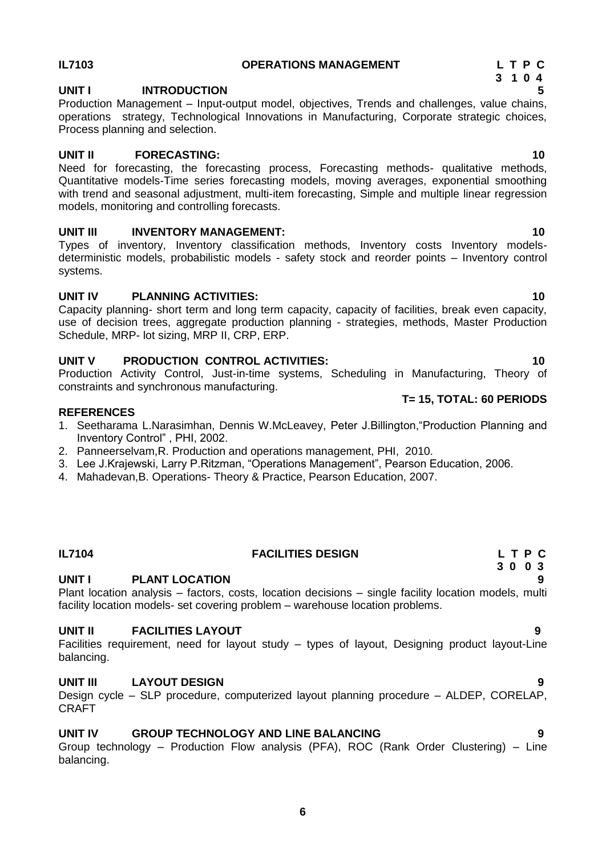### **IL7103 OPERATIONS MANAGEMENT L T P C**

## **UNIT I INTRODUCTION 5**

Production Management – Input-output model, objectives, Trends and challenges, value chains, operations strategy, Technological Innovations in Manufacturing, Corporate strategic choices, Process planning and selection.

### **UNIT II FORECASTING: 10**

Need for forecasting, the forecasting process, Forecasting methods- qualitative methods, Quantitative models-Time series forecasting models, moving averages, exponential smoothing with trend and seasonal adjustment, multi-item forecasting, Simple and multiple linear regression models, monitoring and controlling forecasts.

### **UNIT III** INVENTORY MANAGEMENT: 10

Types of inventory, Inventory classification methods, Inventory costs Inventory modelsdeterministic models, probabilistic models - safety stock and reorder points – Inventory control systems.

### **UNIT IV PLANNING ACTIVITIES:** 10

Capacity planning- short term and long term capacity, capacity of facilities, break even capacity, use of decision trees, aggregate production planning - strategies, methods, Master Production Schedule, MRP- lot sizing, MRP II, CRP, ERP.

### **UNIT V PRODUCTION CONTROL ACTIVITIES: 10**

Production Activity Control, Just-in-time systems, Scheduling in Manufacturing, Theory of constraints and synchronous manufacturing.

### **REFERENCES**

- 1. Seetharama L.Narasimhan, Dennis W.McLeavey, Peter J.Billington,"Production Planning and Inventory Control" , PHI, 2002.
- 2. Panneerselvam,R. Production and operations management, PHI, 2010.
- 3. Lee J.Krajewski, Larry P.Ritzman, "Operations Management", Pearson Education, 2006.
- 4. Mahadevan,B. Operations- Theory & Practice, Pearson Education, 2007.

# **IL7104 FACILITIES DESIGN L T P C**

# **UNIT I PLANT LOCATION 9**

Plant location analysis – factors, costs, location decisions – single facility location models, multi facility location models- set covering problem – warehouse location problems.

# **UNIT II FACILITIES LAYOUT 9**

Facilities requirement, need for layout study – types of layout, Designing product layout-Line balancing.

### **UNIT III LAYOUT DESIGN 9**

Design cycle – SLP procedure, computerized layout planning procedure – ALDEP, CORELAP, CRAFT

### **UNIT IV GROUP TECHNOLOGY AND LINE BALANCING 9**

Group technology – Production Flow analysis (PFA), ROC (Rank Order Clustering) – Line balancing.

# **T= 15, TOTAL: 60 PERIODS**

# **3 1 0 4**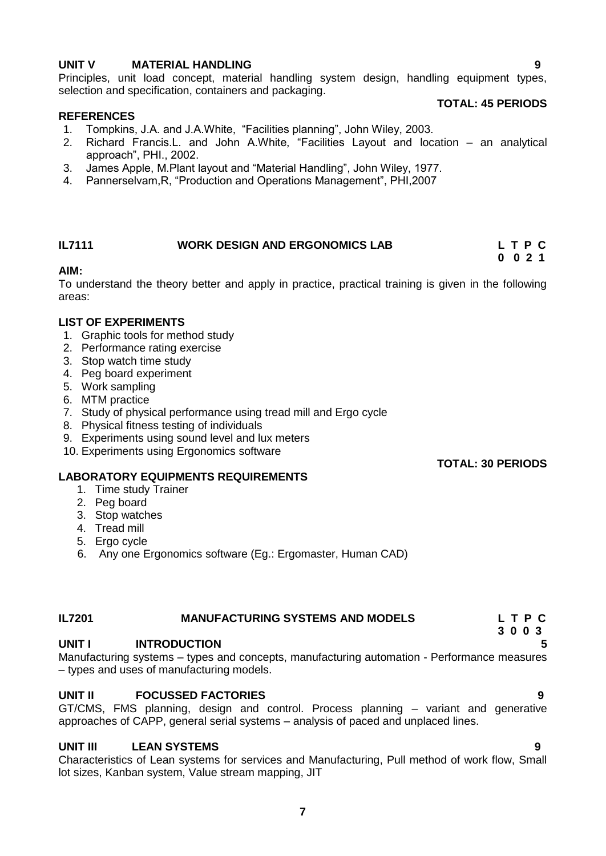### **UNIT V MATERIAL HANDLING 9**

Principles, unit load concept, material handling system design, handling equipment types, selection and specification, containers and packaging.

### **REFERENCES**

### **TOTAL: 45 PERIODS**

- 1. Tompkins, J.A. and J.A.White, "Facilities planning", John Wiley, 2003.
- 2. Richard Francis.L. and John A.White, "Facilities Layout and location an analytical approach", PHI., 2002.
- 3. James Apple, M.Plant layout and "Material Handling", John Wiley, 1977.
- 4. Pannerselvam,R, "Production and Operations Management", PHI,2007

### **IL7111 WORK DESIGN AND ERGONOMICS LAB L T P C**

 **0 0 2 1**

### **AIM:**

To understand the theory better and apply in practice, practical training is given in the following areas:

### **LIST OF EXPERIMENTS**

- 1. Graphic tools for method study
- 2. Performance rating exercise
- 3. Stop watch time study
- 4. Peg board experiment
- 5. Work sampling
- 6. MTM practice
- 7. Study of physical performance using tread mill and Ergo cycle
- 8. Physical fitness testing of individuals
- 9. Experiments using sound level and lux meters
- 10. Experiments using Ergonomics software

### **TOTAL: 30 PERIODS**

### **LABORATORY EQUIPMENTS REQUIREMENTS**

- 1. Time study Trainer
- 2. Peg board
- 3. Stop watches
- 4. Tread mill
- 5. Ergo cycle
- 6. Any one Ergonomics software (Eg.: Ergomaster, Human CAD)

### **IL7201 MANUFACTURING SYSTEMS AND MODELS L T P C**

### **UNIT I INTRODUCTION 5**

Manufacturing systems – types and concepts, manufacturing automation - Performance measures – types and uses of manufacturing models.

### **UNIT II FOCUSSED FACTORIES 9**

GT/CMS, FMS planning, design and control. Process planning – variant and generative approaches of CAPP, general serial systems – analysis of paced and unplaced lines.

### **UNIT III LEAN SYSTEMS 9**

Characteristics of Lean systems for services and Manufacturing, Pull method of work flow, Small lot sizes, Kanban system, Value stream mapping, JIT

**7**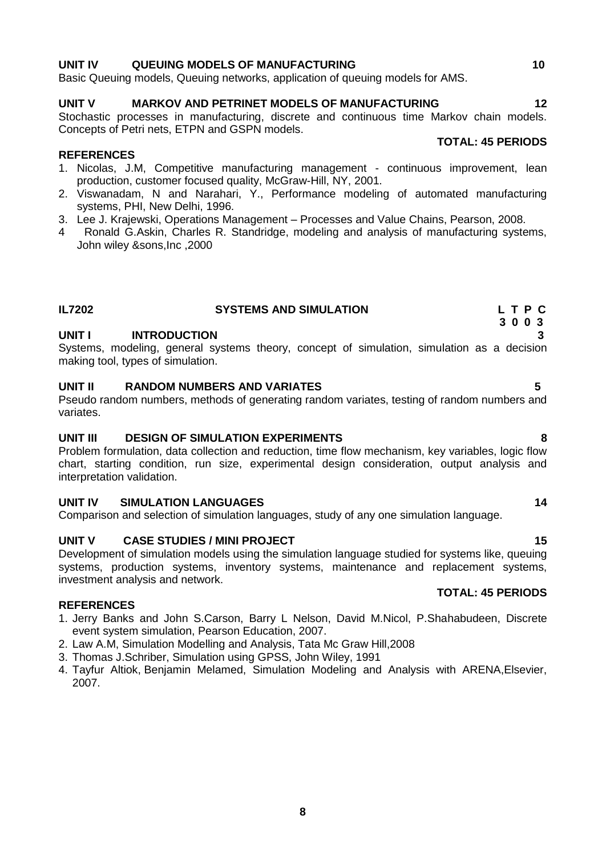### **UNIT IV QUEUING MODELS OF MANUFACTURING 10**

Basic Queuing models, Queuing networks, application of queuing models for AMS.

## **UNIT V MARKOV AND PETRINET MODELS OF MANUFACTURING 12**

Stochastic processes in manufacturing, discrete and continuous time Markov chain models. Concepts of Petri nets, ETPN and GSPN models.

### **REFERENCES**

- 1. Nicolas, J.M, Competitive manufacturing management continuous improvement, lean production, customer focused quality, McGraw-Hill, NY, 2001.
- 2. Viswanadam, N and Narahari, Y., Performance modeling of automated manufacturing systems, PHI, New Delhi, 1996.
- 3. Lee J. Krajewski, Operations Management Processes and Value Chains, Pearson, 2008.
- 4 Ronald G.Askin, Charles R. Standridge, modeling and analysis of manufacturing systems, John wiley &sons,Inc ,2000

### **UNIT I INTRODUCTION 3**

Systems, modeling, general systems theory, concept of simulation, simulation as a decision making tool, types of simulation.

**IL7202 SYSTEMS AND SIMULATION L T P C**

### **UNIT II RANDOM NUMBERS AND VARIATES 5**

Pseudo random numbers, methods of generating random variates, testing of random numbers and variates.

### **UNIT III DESIGN OF SIMULATION EXPERIMENTS 8**

Problem formulation, data collection and reduction, time flow mechanism, key variables, logic flow chart, starting condition, run size, experimental design consideration, output analysis and interpretation validation.

### **UNIT IV SIMULATION LANGUAGES 14**

Comparison and selection of simulation languages, study of any one simulation language.

### **UNIT V CASE STUDIES / MINI PROJECT 45** 15

Development of simulation models using the simulation language studied for systems like, queuing systems, production systems, inventory systems, maintenance and replacement systems, investment analysis and network.

### **REFERENCES**

- 1. Jerry Banks and John S.Carson, Barry L Nelson, David M.Nicol, P.Shahabudeen, Discrete event system simulation, Pearson Education, 2007.
- 2. Law A.M, Simulation Modelling and Analysis, Tata Mc Graw Hill,2008
- 3. Thomas J.Schriber, Simulation using GPSS, John Wiley, 1991
- 4. [Tayfur Altiok,](http://www.amazon.com/s/ref=rdr_ext_aut?_encoding=UTF8&index=books&field-author=Tayfur%20Altiok) Benjamin Melamed, Simulation Modeling and Analysis with ARENA,Elsevier, 2007.

### **TOTAL: 45 PERIODS**

 **3 0 0 3**

**TOTAL: 45 PERIODS**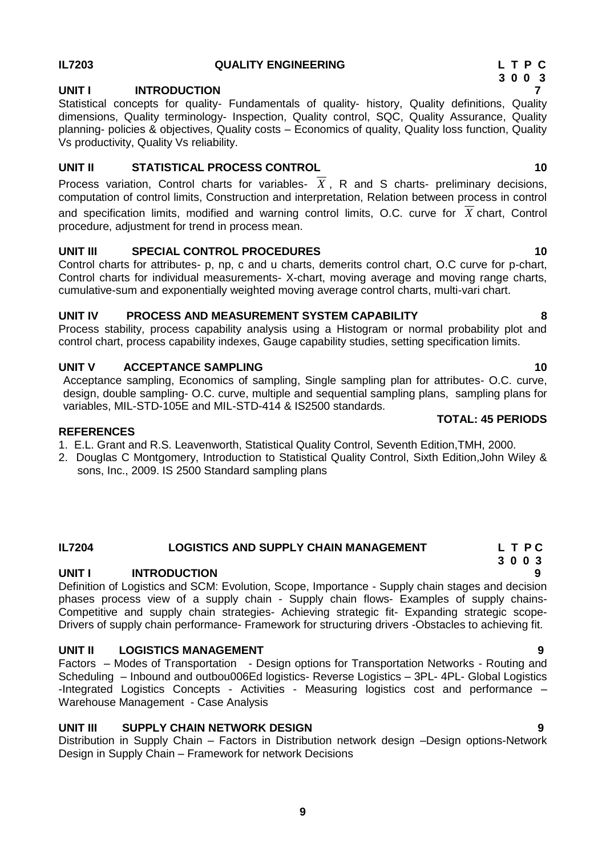### **IL7203 QUALITY ENGINEERING L T P C**

## UNIT **INTRODUCTION**

Statistical concepts for quality- Fundamentals of quality- history, Quality definitions, Quality dimensions, Quality terminology- Inspection, Quality control, SQC, Quality Assurance, Quality planning- policies & objectives, Quality costs – Economics of quality, Quality loss function, Quality Vs productivity, Quality Vs reliability.

### **UNIT II STATISTICAL PROCESS CONTROL 10**

Process variation, Control charts for variables- *X* , R and S charts- preliminary decisions, computation of control limits, Construction and interpretation, Relation between process in control and specification limits, modified and warning control limits, O.C. curve for *X* chart, Control procedure, adjustment for trend in process mean.

### **UNIT III SPECIAL CONTROL PROCEDURES 10**

Control charts for attributes- p, np, c and u charts, demerits control chart, O.C curve for p-chart, Control charts for individual measurements- X-chart, moving average and moving range charts, cumulative-sum and exponentially weighted moving average control charts, multi-vari chart.

### **UNIT IV PROCESS AND MEASUREMENT SYSTEM CAPABILITY 8**

Process stability, process capability analysis using a Histogram or normal probability plot and control chart, process capability indexes, Gauge capability studies, setting specification limits.

### **UNIT V ACCEPTANCE SAMPLING 10 10**

Acceptance sampling, Economics of sampling, Single sampling plan for attributes- O.C. curve, design, double sampling- O.C. curve, multiple and sequential sampling plans, sampling plans for variables, MIL-STD-105E and MIL-STD-414 & IS2500 standards.

### **REFERENCES**

- 1. E.L. Grant and R.S. Leavenworth, Statistical Quality Control, Seventh Edition,TMH, 2000.
- 2. Douglas C Montgomery, Introduction to Statistical Quality Control, Sixth Edition,John Wiley & sons, Inc., 2009. IS 2500 Standard sampling plans

### **3 0 0 3 UNIT I INTRODUCTION 9**

Definition of Logistics and SCM: Evolution, Scope, Importance - Supply chain stages and decision phases process view of a supply chain - Supply chain flows- Examples of supply chains-Competitive and supply chain strategies- Achieving strategic fit- Expanding strategic scope-Drivers of supply chain performance- Framework for structuring drivers -Obstacles to achieving fit.

**IL7204 LOGISTICS AND SUPPLY CHAIN MANAGEMENT L T P C**

### **UNIT II LOGISTICS MANAGEMENT 9**

Factors – Modes of Transportation - Design options for Transportation Networks - Routing and Scheduling – Inbound and outbou006Ed logistics- Reverse Logistics – 3PL- 4PL- Global Logistics -Integrated Logistics Concepts - Activities - Measuring logistics cost and performance – Warehouse Management - Case Analysis

### **UNIT III SUPPLY CHAIN NETWORK DESIGN 9**

Distribution in Supply Chain – Factors in Distribution network design –Design options-Network Design in Supply Chain – Framework for network Decisions

# **TOTAL: 45 PERIODS**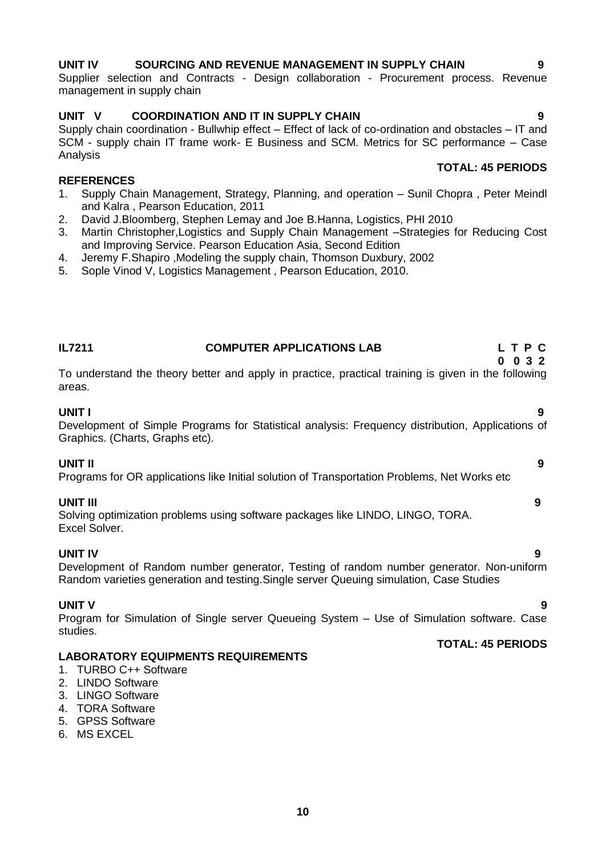### **10**

### **UNIT IV SOURCING AND REVENUE MANAGEMENT IN SUPPLY CHAIN 9**

Supplier selection and Contracts - Design collaboration - Procurement process. Revenue management in supply chain

### **UNIT V COORDINATION AND IT IN SUPPLY CHAIN 9**

Supply chain coordination - Bullwhip effect – Effect of lack of co-ordination and obstacles – IT and SCM - supply chain IT frame work- E Business and SCM. Metrics for SC performance – Case Analysis

### **TOTAL: 45 PERIODS**

### **REFERENCES**

- 1. Supply Chain Management, Strategy, Planning, and operation Sunil Chopra , Peter Meindl and Kalra , Pearson Education, 2011
- 2. David J.Bloomberg, Stephen Lemay and Joe B.Hanna, Logistics, PHI 2010
- 3. Martin Christopher,Logistics and Supply Chain Management –Strategies for Reducing Cost and Improving Service. Pearson Education Asia, Second Edition
- 4. Jeremy F.Shapiro ,Modeling the supply chain, Thomson Duxbury, 2002
- 5. Sople Vinod V, Logistics Management , Pearson Education, 2010.

| <b>IL7211</b> | <b>COMPUTER APPLICATIONS LAB</b>                                                                   | LTPC    |
|---------------|----------------------------------------------------------------------------------------------------|---------|
|               |                                                                                                    | 0 0 3 2 |
|               | To understand the theory better and annly in practice practical training is given in the following |         |

### To understand the theory better and apply in practice, practical training is given in the following areas.

### **UNIT I 9**

Development of Simple Programs for Statistical analysis: Frequency distribution, Applications of Graphics. (Charts, Graphs etc).

### **UNIT II 9**

Programs for OR applications like Initial solution of Transportation Problems, Net Works etc

**UNIT III 9**  Solving optimization problems using software packages like LINDO, LINGO, TORA. Excel Solver.

**UNIT IV 9** Development of Random number generator, Testing of random number generator. Non-uniform Random varieties generation and testing.Single server Queuing simulation, Case Studies

### **UNIT V 9**

Program for Simulation of Single server Queueing System – Use of Simulation software. Case studies.

### **LABORATORY EQUIPMENTS REQUIREMENTS**

- 1. TURBO C++ Software
- 2. LINDO Software
- 3. LINGO Software
- 4. TORA Software
- 5. GPSS Software
- 6. MS EXCEL

# **TOTAL: 45 PERIODS**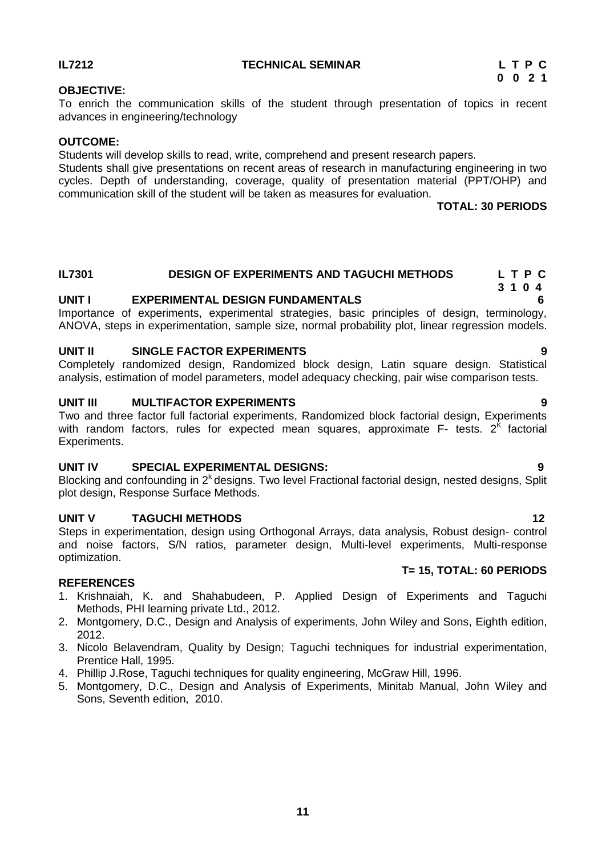### **IL7212 TECHNICAL SEMINAR L T P C**

### **OBJECTIVE:**

To enrich the communication skills of the student through presentation of topics in recent advances in engineering/technology

### **OUTCOME:**

Students will develop skills to read, write, comprehend and present research papers.

Students shall give presentations on recent areas of research in manufacturing engineering in two cycles. Depth of understanding, coverage, quality of presentation material (PPT/OHP) and communication skill of the student will be taken as measures for evaluation.

**TOTAL: 30 PERIODS**

# **IL7301** DESIGN OF EXPERIMENTS AND TAGUCHI METHODS L T P C<br>3 1 0 4

### **UNIT I EXPERIMENTAL DESIGN FUNDAMENTALS 6**

Importance of experiments, experimental strategies, basic principles of design, terminology, ANOVA, steps in experimentation, sample size, normal probability plot, linear regression models.

### **UNIT II SINGLE FACTOR EXPERIMENTS 9**

Completely randomized design, Randomized block design, Latin square design. Statistical analysis, estimation of model parameters, model adequacy checking, pair wise comparison tests.

### **UNIT III MULTIFACTOR EXPERIMENTS 9**

Two and three factor full factorial experiments, Randomized block factorial design, Experiments with random factors, rules for expected mean squares, approximate  $F-$  tests.  $2<sup>K</sup>$  factorial Experiments.

### **UNIT IV SPECIAL EXPERIMENTAL DESIGNS: 9**

Blocking and confounding in  $2<sup>k</sup>$  designs. Two level Fractional factorial design, nested designs, Split plot design, Response Surface Methods.

### **UNIT V TAGUCHI METHODS 12**

Steps in experimentation, design using Orthogonal Arrays, data analysis, Robust design- control and noise factors, S/N ratios, parameter design, Multi-level experiments, Multi-response optimization.

### **REFERENCES**

- 1. Krishnaiah, K. and Shahabudeen, P. Applied Design of Experiments and Taguchi Methods, PHI learning private Ltd., 2012.
- 2. Montgomery, D.C., Design and Analysis of experiments, John Wiley and Sons, Eighth edition, 2012.
- 3. Nicolo Belavendram, Quality by Design; Taguchi techniques for industrial experimentation, Prentice Hall, 1995.
- 4. Phillip J.Rose, Taguchi techniques for quality engineering, McGraw Hill, 1996.
- 5. Montgomery, D.C., Design and Analysis of Experiments, Minitab Manual, John Wiley and Sons, Seventh edition, 2010.

**T= 15, TOTAL: 60 PERIODS**

# **3 1 0 4**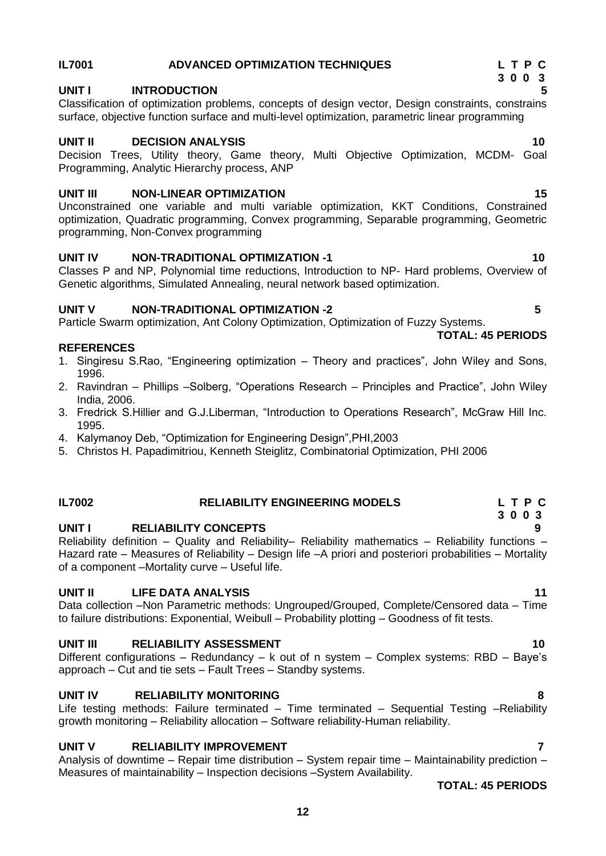## **IL7001 ADVANCED OPTIMIZATION TECHNIQUES L T P C**

### **3 0 0 3 UNIT I INTRODUCTION 5**

Classification of optimization problems, concepts of design vector, Design constraints, constrains surface, objective function surface and multi-level optimization, parametric linear programming

### **UNIT II DECISION ANALYSIS 10**

Decision Trees, Utility theory, Game theory, Multi Objective Optimization, MCDM- Goal Programming, Analytic Hierarchy process, ANP

### **UNIT III NON-LINEAR OPTIMIZATION 15**

Unconstrained one variable and multi variable optimization, KKT Conditions, Constrained optimization, Quadratic programming, Convex programming, Separable programming, Geometric programming, Non-Convex programming

### **UNIT IV NON-TRADITIONAL OPTIMIZATION -1 10**

Classes P and NP, Polynomial time reductions, Introduction to NP- Hard problems, Overview of Genetic algorithms, Simulated Annealing, neural network based optimization.

### **UNIT V NON-TRADITIONAL OPTIMIZATION -2 5**

Particle Swarm optimization, Ant Colony Optimization, Optimization of Fuzzy Systems. **TOTAL: 45 PERIODS**

### **REFERENCES**

- 1. Singiresu S.Rao, "Engineering optimization Theory and practices", John Wiley and Sons, 1996.
- 2. Ravindran Phillips –Solberg, "Operations Research Principles and Practice", John Wiley India, 2006.
- 3. Fredrick S.Hillier and G.J.Liberman, "Introduction to Operations Research", McGraw Hill Inc. 1995.
- 4. Kalymanoy Deb, "Optimization for Engineering Design",PHI,2003
- 5. Christos H. Papadimitriou, Kenneth Steiglitz, Combinatorial Optimization, PHI 2006

# **IL7002 RELIABILITY ENGINEERING MODELS L T P C**

### **UNIT I RELIABILITY CONCEPTS 9**

Reliability definition – Quality and Reliability– Reliability mathematics – Reliability functions – Hazard rate – Measures of Reliability – Design life –A priori and posteriori probabilities – Mortality of a component –Mortality curve – Useful life.

### **UNIT II LIFE DATA ANALYSIS 11**

Data collection –Non Parametric methods: Ungrouped/Grouped, Complete/Censored data – Time to failure distributions: Exponential, Weibull – Probability plotting – Goodness of fit tests.

### **UNIT III** RELIABILITY ASSESSMENT **10** 10

Different configurations – Redundancy – k out of n system – Complex systems: RBD – Baye"s approach – Cut and tie sets – Fault Trees – Standby systems.

### **UNIT IV RELIABILITY MONITORING 8**

Life testing methods: Failure terminated – Time terminated – Sequential Testing –Reliability growth monitoring – Reliability allocation – Software reliability-Human reliability.

### **UNIT V RELIABILITY IMPROVEMENT 7** AND **RELIABILITY IMPROVEMENT**

Analysis of downtime – Repair time distribution – System repair time – Maintainability prediction – Measures of maintainability – Inspection decisions –System Availability.

 **TOTAL: 45 PERIODS**

 **3 0 0 3**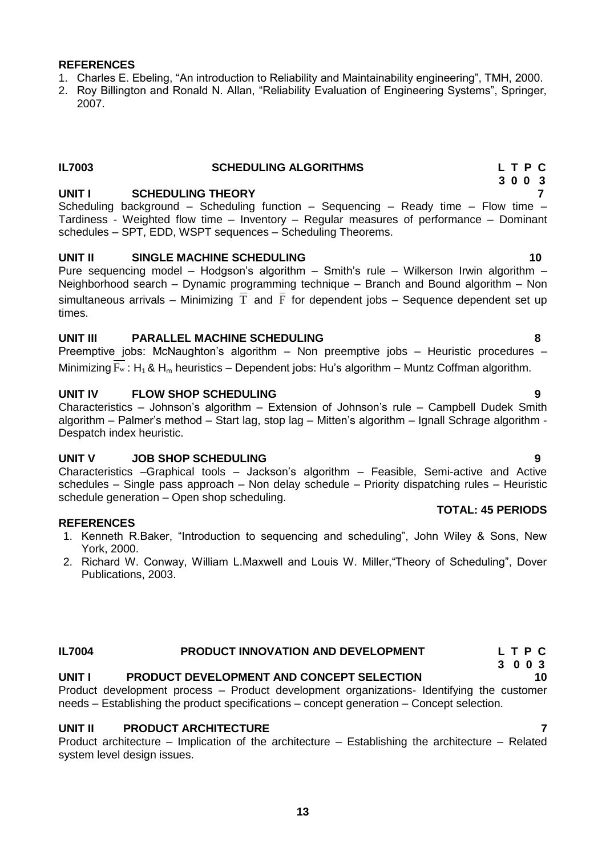### **REFERENCES**

- 1. Charles E. Ebeling, "An introduction to Reliability and Maintainability engineering", TMH, 2000.
- 2. Roy Billington and Ronald N. Allan, "Reliability Evaluation of Engineering Systems", Springer, 2007.

### **IL7003 SCHEDULING ALGORITHMS L T P C**

### **UNIT I SCHEDULING THEORY 7**

Scheduling background – Scheduling function – Sequencing – Ready time – Flow time – Tardiness - Weighted flow time – Inventory – Regular measures of performance – Dominant schedules – SPT, EDD, WSPT sequences – Scheduling Theorems.

### **UNIT II SINGLE MACHINE SCHEDULING 10**

Pure sequencing model – Hodgson's algorithm – Smith's rule – Wilkerson Irwin algorithm – Neighborhood search – Dynamic programming technique – Branch and Bound algorithm – Non simultaneous arrivals - Minimizing T and F for dependent jobs - Sequence dependent set up times.

### **UNIT III PARALLEL MACHINE SCHEDULING 8**

Preemptive jobs: McNaughton"s algorithm – Non preemptive jobs – Heuristic procedures – Minimizing  $F_w$ : H<sub>1</sub> & H<sub>m</sub> heuristics – Dependent jobs: Hu's algorithm – Muntz Coffman algorithm.

### **UNIT IV FLOW SHOP SCHEDULING 9**

Characteristics – Johnson"s algorithm – Extension of Johnson"s rule – Campbell Dudek Smith algorithm – Palmer"s method – Start lag, stop lag – Mitten"s algorithm – Ignall Schrage algorithm - Despatch index heuristic.

### **UNIT V JOB SHOP SCHEDULING 9**

Characteristics –Graphical tools – Jackson"s algorithm – Feasible, Semi-active and Active schedules – Single pass approach – Non delay schedule – Priority dispatching rules – Heuristic schedule generation – Open shop scheduling. **TOTAL: 45 PERIODS**

### **REFERENCES**

- 1. Kenneth R.Baker, "Introduction to sequencing and scheduling", John Wiley & Sons, New York, 2000.
- 2. Richard W. Conway, William L.Maxwell and Louis W. Miller,"Theory of Scheduling", Dover Publications, 2003.

### **IL7004 PRODUCT INNOVATION AND DEVELOPMENT L T P C**

# **UNIT I PRODUCT DEVELOPMENT AND CONCEPT SELECTION 10**

Product development process – Product development organizations- Identifying the customer needs – Establishing the product specifications – concept generation – Concept selection.

### **UNIT II PRODUCT ARCHITECTURE 7**

Product architecture – Implication of the architecture – Establishing the architecture – Related system level design issues.

 **3 0 0 3**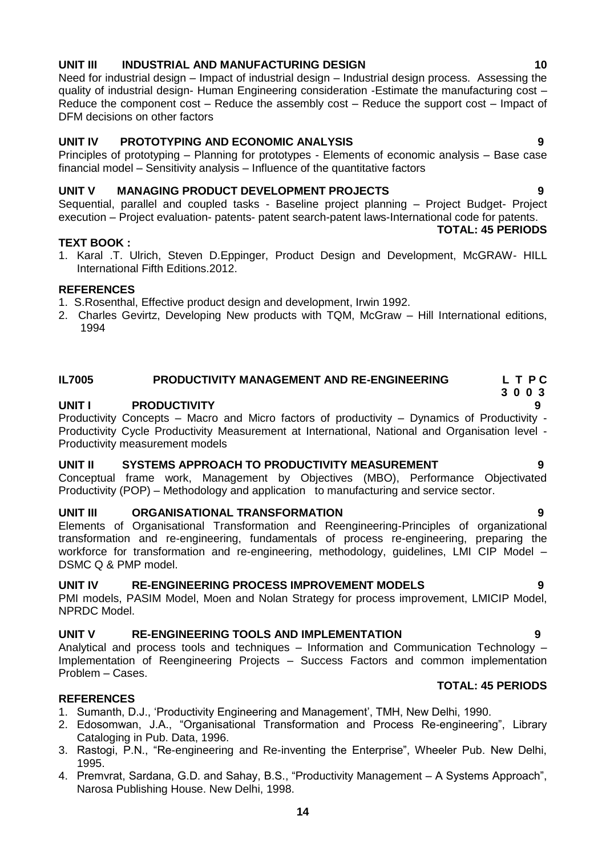### **UNIT III INDUSTRIAL AND MANUFACTURING DESIGN 10**

Need for industrial design – Impact of industrial design – Industrial design process. Assessing the quality of industrial design- Human Engineering consideration -Estimate the manufacturing cost – Reduce the component cost – Reduce the assembly cost – Reduce the support cost – Impact of DFM decisions on other factors

### **UNIT IV PROTOTYPING AND ECONOMIC ANALYSIS 9**

Principles of prototyping – Planning for prototypes - Elements of economic analysis – Base case financial model – Sensitivity analysis – Influence of the quantitative factors

### **UNIT V MANAGING PRODUCT DEVELOPMENT PROJECTS 9**

Sequential, parallel and coupled tasks - Baseline project planning – Project Budget- Project execution – Project evaluation- patents- patent search-patent laws-International code for patents.

### **TEXT BOOK :**

1. Karal .T. Ulrich, Steven D.Eppinger, Product Design and Development, McGRAW- HILL International Fifth Editions.2012.

### **REFERENCES**

- 1. S.Rosenthal, Effective product design and development, Irwin 1992.
- 2. Charles Gevirtz, Developing New products with TQM, McGraw Hill International editions, 1994

### **IL7005 PRODUCTIVITY MANAGEMENT AND RE-ENGINEERING L T P C**

### **UNIT I PRODUCTIVITY**

Productivity Concepts – Macro and Micro factors of productivity – Dynamics of Productivity - Productivity Cycle Productivity Measurement at International, National and Organisation level - Productivity measurement models

### **UNIT II SYSTEMS APPROACH TO PRODUCTIVITY MEASUREMENT 9**

Conceptual frame work, Management by Objectives (MBO), Performance Objectivated Productivity (POP) – Methodology and application to manufacturing and service sector.

### **UNIT III ORGANISATIONAL TRANSFORMATION 9**

Elements of Organisational Transformation and Reengineering-Principles of organizational transformation and re-engineering, fundamentals of process re-engineering, preparing the workforce for transformation and re-engineering, methodology, guidelines, LMI CIP Model – DSMC Q & PMP model.

### **UNIT IV RE-ENGINEERING PROCESS IMPROVEMENT MODELS 9**

PMI models, PASIM Model, Moen and Nolan Strategy for process improvement, LMICIP Model, NPRDC Model.

### **UNIT V RE-ENGINEERING TOOLS AND IMPLEMENTATION 9**

Analytical and process tools and techniques – Information and Communication Technology – Implementation of Reengineering Projects – Success Factors and common implementation Problem – Cases.  **TOTAL: 45 PERIODS**

### **REFERENCES**

- 1. Sumanth, D.J., "Productivity Engineering and Management", TMH, New Delhi, 1990.
- 2. Edosomwan, J.A., "Organisational Transformation and Process Re-engineering", Library Cataloging in Pub. Data, 1996.
- 3. Rastogi, P.N., "Re-engineering and Re-inventing the Enterprise", Wheeler Pub. New Delhi, 1995.
- 4. Premvrat, Sardana, G.D. and Sahay, B.S., "Productivity Management A Systems Approach", Narosa Publishing House. New Delhi, 1998.

### **TOTAL: 45 PERIODS**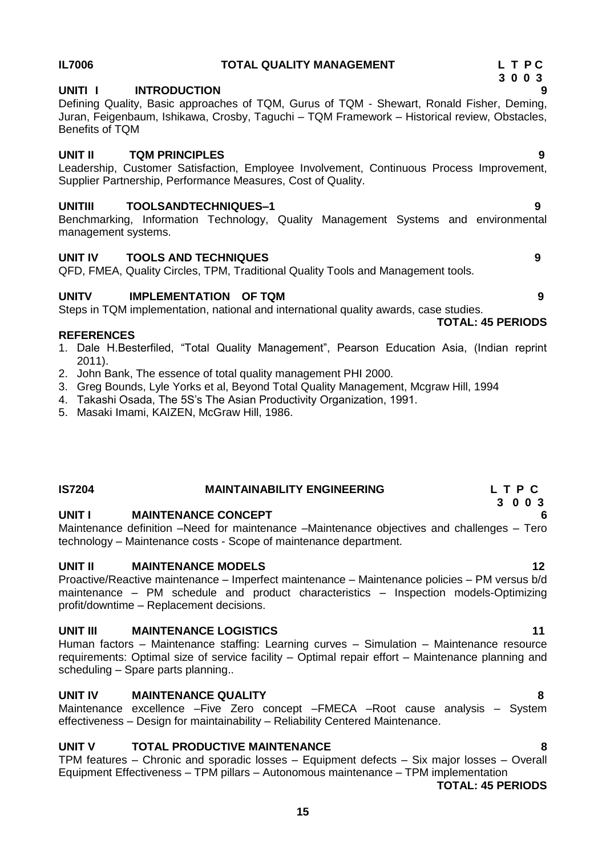# **IL7006 TOTAL QUALITY MANAGEMENT L T P C**

### **3 0 0 3 UNITI I INTRODUCTION 9**

Defining Quality, Basic approaches of TQM, Gurus of TQM - Shewart, Ronald Fisher, Deming, Juran, Feigenbaum, Ishikawa, Crosby, Taguchi – TQM Framework – Historical review, Obstacles, Benefits of TQM

# **UNIT II TQM PRINCIPLES 9**

Leadership, Customer Satisfaction, Employee Involvement, Continuous Process Improvement, Supplier Partnership, Performance Measures, Cost of Quality.

# **UNITIII TOOLSANDTECHNIQUES–1 9**

Benchmarking, Information Technology, Quality Management Systems and environmental management systems.

# **UNIT IV TOOLS AND TECHNIQUES 9**

QFD, FMEA, Quality Circles, TPM, Traditional Quality Tools and Management tools.

# **UNITV IMPLEMENTATION OF TQM 9**

Steps in TQM implementation, national and international quality awards, case studies. **TOTAL: 45 PERIODS**

# **REFERENCES**

- 1. Dale H.Besterfiled, "Total Quality Management", Pearson Education Asia, (Indian reprint 2011).
- 2. John Bank, The essence of total quality management PHI 2000.
- 3. Greg Bounds, Lyle Yorks et al, Beyond Total Quality Management, Mcgraw Hill, 1994
- 4. Takashi Osada, The 5S"s The Asian Productivity Organization, 1991.
- 5. Masaki Imami, KAIZEN, McGraw Hill, 1986.

# **IS7204 MAINTAINABILITY ENGINEERING L T P C**

### **3 0 0 3 UNIT I MAINTENANCE CONCEPT 6**

Maintenance definition –Need for maintenance –Maintenance objectives and challenges – Tero technology – Maintenance costs - Scope of maintenance department.

# **UNIT II MAINTENANCE MODELS 12**

Proactive/Reactive maintenance – Imperfect maintenance – Maintenance policies – PM versus b/d maintenance – PM schedule and product characteristics – Inspection models-Optimizing profit/downtime – Replacement decisions.

# **UNIT III MAINTENANCE LOGISTICS** 11

Human factors – Maintenance staffing: Learning curves – Simulation – Maintenance resource requirements: Optimal size of service facility – Optimal repair effort – Maintenance planning and scheduling – Spare parts planning..

# **UNIT IV MAINTENANCE QUALITY 8**

Maintenance excellence –Five Zero concept –FMECA –Root cause analysis – System effectiveness – Design for maintainability – Reliability Centered Maintenance.

# **UNIT V TOTAL PRODUCTIVE MAINTENANCE 8**

TPM features – Chronic and sporadic losses – Equipment defects – Six major losses – Overall Equipment Effectiveness – TPM pillars – Autonomous maintenance – TPM implementation

**TOTAL: 45 PERIODS**



- -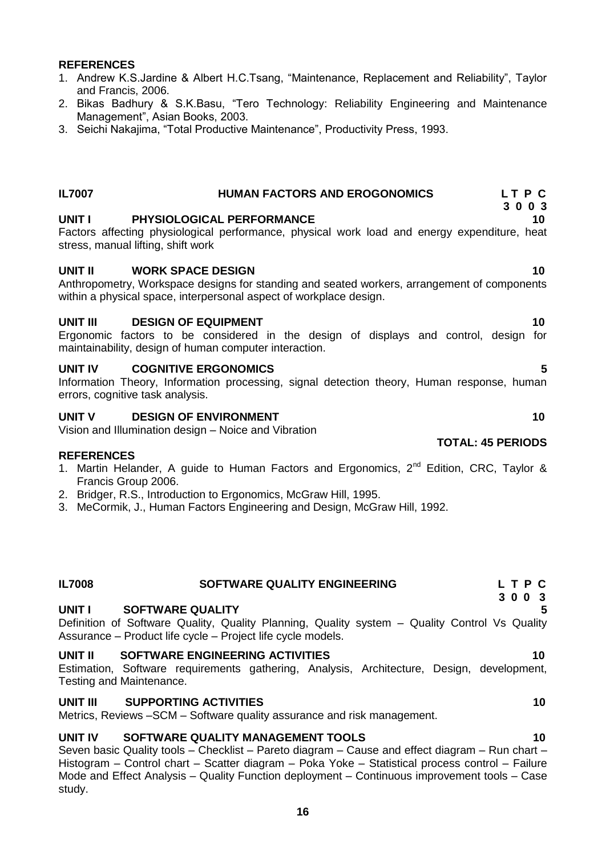**UNIT IV SOFTWARE QUALITY MANAGEMENT TOOLS 10**

Metrics, Reviews –SCM – Software quality assurance and risk management.

Seven basic Quality tools – Checklist – Pareto diagram – Cause and effect diagram – Run chart – Histogram – Control chart – Scatter diagram – Poka Yoke – Statistical process control – Failure Mode and Effect Analysis – Quality Function deployment – Continuous improvement tools – Case study.

# **REFERENCES**

- 1. Andrew K.S.Jardine & Albert H.C.Tsang, "Maintenance, Replacement and Reliability", Taylor and Francis, 2006.
- 2. Bikas Badhury & S.K.Basu, "Tero Technology: Reliability Engineering and Maintenance Management", Asian Books, 2003.
- 3. Seichi Nakajima, "Total Productive Maintenance", Productivity Press, 1993.
- **IL7007 HUMAN FACTORS AND EROGONOMICS L T P C 3 0 0 3 UNIT I PHYSIOLOGICAL PERFORMANCE 10** Factors affecting physiological performance, physical work load and energy expenditure, heat stress, manual lifting, shift work **UNIT II WORK SPACE DESIGN 10** Anthropometry, Workspace designs for standing and seated workers, arrangement of components within a physical space, interpersonal aspect of workplace design. **UNIT III** DESIGN OF EQUIPMENT 10 maintainability, design of human computer interaction. **UNIT IV COGNITIVE ERGONOMICS 5** errors, cognitive task analysis. **UNIT V DESIGN OF ENVIRONMENT 10 10** Vision and Illumination design – Noice and Vibration **TOTAL: 45 PERIODS REFERENCES** 1. Martin Helander, A guide to Human Factors and Ergonomics,  $2^{nd}$  Edition, CRC. Tavlor & Francis Group 2006. 2. Bridger, R.S., Introduction to Ergonomics, McGraw Hill, 1995. 3. MeCormik, J., Human Factors Engineering and Design, McGraw Hill, 1992.
- **3 0 0 3 UNIT I SOFTWARE QUALITY UNIT II SOFTWARE ENGINEERING ACTIVITIES 10**
- 

**IL7008 SOFTWARE QUALITY ENGINEERING L T P C**

Definition of Software Quality, Quality Planning, Quality system – Quality Control Vs Quality Assurance – Product life cycle – Project life cycle models.

Estimation, Software requirements gathering, Analysis, Architecture, Design, development, Testing and Maintenance.

### **UNIT III SUPPORTING ACTIVITIES 10**

Ergonomic factors to be considered in the design of displays and control, design for

Information Theory, Information processing, signal detection theory, Human response, human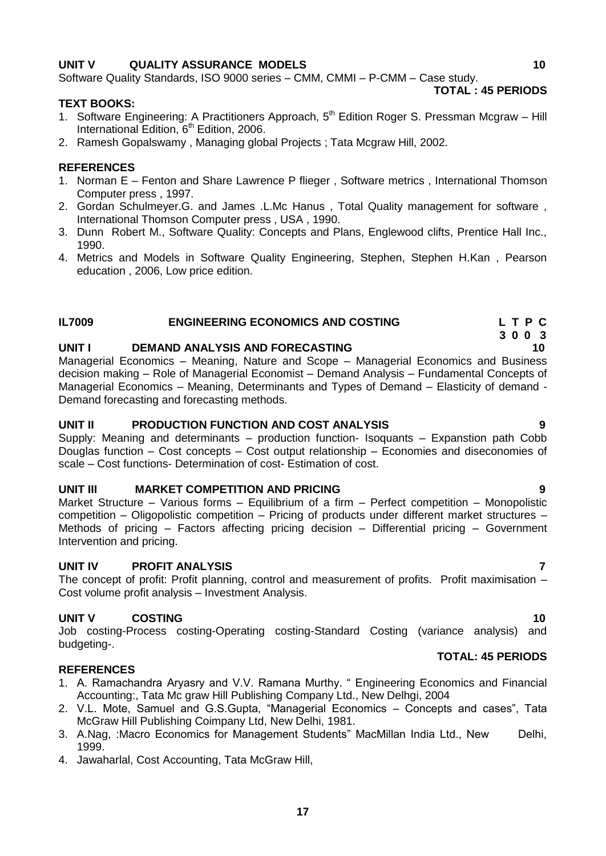### **UNIT V QUALITY ASSURANCE MODELS** 40

Software Quality Standards, ISO 9000 series – CMM, CMMI – P-CMM – Case study.

### **TEXT BOOKS:**

- 1. Software Engineering: A Practitioners Approach, 5<sup>th</sup> Edition Roger S. Pressman Mcgraw Hill International Edition, 6<sup>th</sup> Edition, 2006.
- 2. Ramesh Gopalswamy , Managing global Projects ; Tata Mcgraw Hill, 2002.

### **REFERENCES**

- 1. Norman E Fenton and Share Lawrence P flieger , Software metrics , International Thomson Computer press , 1997.
- 2. Gordan Schulmeyer.G. and James .L.Mc Hanus , Total Quality management for software , International Thomson Computer press , USA , 1990.
- 3. Dunn Robert M., Software Quality: Concepts and Plans, Englewood clifts, Prentice Hall Inc., 1990.
- 4. Metrics and Models in Software Quality Engineering, Stephen, Stephen H.Kan , Pearson education , 2006, Low price edition.

### **IL7009 ENGINEERING ECONOMICS AND COSTING L T P C**

### **UNIT I DEMAND ANALYSIS AND FORECASTING 10**

Managerial Economics – Meaning, Nature and Scope – Managerial Economics and Business decision making – Role of Managerial Economist – Demand Analysis – Fundamental Concepts of Managerial Economics – Meaning, Determinants and Types of Demand – Elasticity of demand - Demand forecasting and forecasting methods.

### **UNIT II PRODUCTION FUNCTION AND COST ANALYSIS 9**

Supply: Meaning and determinants – production function- Isoquants – Expanstion path Cobb Douglas function – Cost concepts – Cost output relationship – Economies and diseconomies of scale – Cost functions- Determination of cost- Estimation of cost.

### **UNIT III MARKET COMPETITION AND PRICING 9**

Market Structure – Various forms – Equilibrium of a firm – Perfect competition – Monopolistic competition – Oligopolistic competition – Pricing of products under different market structures – Methods of pricing – Factors affecting pricing decision – Differential pricing – Government Intervention and pricing.

### **UNIT IV PROFIT ANALYSIS 7**

The concept of profit: Profit planning, control and measurement of profits. Profit maximisation -Cost volume profit analysis – Investment Analysis.

### **UNIT V COSTING 10**

Job costing-Process costing-Operating costing-Standard Costing (variance analysis) and budgeting-.  **TOTAL: 45 PERIODS**

### **REFERENCES**

- 1. A. Ramachandra Aryasry and V.V. Ramana Murthy. " Engineering Economics and Financial Accounting:, Tata Mc graw Hill Publishing Company Ltd., New Delhgi, 2004
- 2. V.L. Mote, Samuel and G.S.Gupta, "Managerial Economics Concepts and cases", Tata McGraw Hill Publishing Coimpany Ltd, New Delhi, 1981.
- 3. A.Nag, :Macro Economics for Management Students" MacMillan India Ltd., New Delhi, 1999.
- 4. Jawaharlal, Cost Accounting, Tata McGraw Hill,

**TOTAL : 45 PERIODS**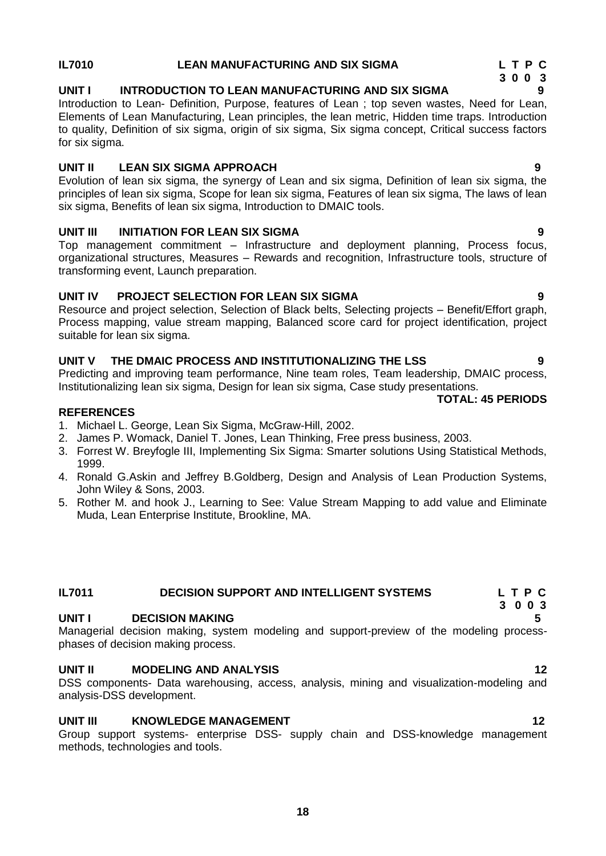### **IL7010 LEAN MANUFACTURING AND SIX SIGMA L T P C**

### **UNIT I INTRODUCTION TO LEAN MANUFACTURING AND SIX SIGMA 9**

Introduction to Lean- Definition, Purpose, features of Lean ; top seven wastes, Need for Lean, Elements of Lean Manufacturing, Lean principles, the lean metric, Hidden time traps. Introduction to quality, Definition of six sigma, origin of six sigma, Six sigma concept, Critical success factors for six sigma.

### **UNIT II LEAN SIX SIGMA APPROACH 9**

Evolution of lean six sigma, the synergy of Lean and six sigma, Definition of lean six sigma, the principles of lean six sigma, Scope for lean six sigma, Features of lean six sigma, The laws of lean six sigma, Benefits of lean six sigma, Introduction to DMAIC tools.

### **UNIT III INITIATION FOR LEAN SIX SIGMA 9**

Top management commitment – Infrastructure and deployment planning, Process focus, organizational structures, Measures – Rewards and recognition, Infrastructure tools, structure of transforming event, Launch preparation.

### **UNIT IV PROJECT SELECTION FOR LEAN SIX SIGMA 9**

Resource and project selection, Selection of Black belts, Selecting projects – Benefit/Effort graph, Process mapping, value stream mapping, Balanced score card for project identification, project suitable for lean six sigma.

### **UNIT V THE DMAIC PROCESS AND INSTITUTIONALIZING THE LSS 9**

Predicting and improving team performance, Nine team roles, Team leadership, DMAIC process, Institutionalizing lean six sigma, Design for lean six sigma, Case study presentations.

### **TOTAL: 45 PERIODS**

### **REFERENCES**

- 1. Michael L. George, Lean Six Sigma, McGraw-Hill, 2002.
- 2. James P. Womack, Daniel T. Jones, Lean Thinking, Free press business, 2003.
- 3. Forrest W. Breyfogle III, Implementing Six Sigma: Smarter solutions Using Statistical Methods, 1999.
- 4. Ronald G.Askin and Jeffrey B.Goldberg, Design and Analysis of Lean Production Systems, John Wiley & Sons, 2003.
- 5. Rother M. and hook J., Learning to See: Value Stream Mapping to add value and Eliminate Muda, Lean Enterprise Institute, Brookline, MA.

### **IL7011 [DECISION SUPPORT AND INTELLIGENT SYSTEMS](file:///D:\00.%2018th%20BOS\03.%20COE%20-%2020.06.13\02.%20Mech%20-%20A.I%20(to%20be%20code)\My%20Documents\Downloads\ME-INDLENGG-R2009%20CURRICULAM%20LATEST.doc%23IE9159) L T P C**

### **UNIT I DECISION MAKING 5**

Managerial decision making, system modeling and support-preview of the modeling processphases of decision making process.

### **UNIT II MODELING AND ANALYSIS 12**

DSS components- Data warehousing, access, analysis, mining and visualization-modeling and analysis-DSS development.

### **UNIT III KNOWLEDGE MANAGEMENT 12** 12

Group support systems- enterprise DSS- supply chain and DSS-knowledge management methods, technologies and tools.

 **3 0 0 3**

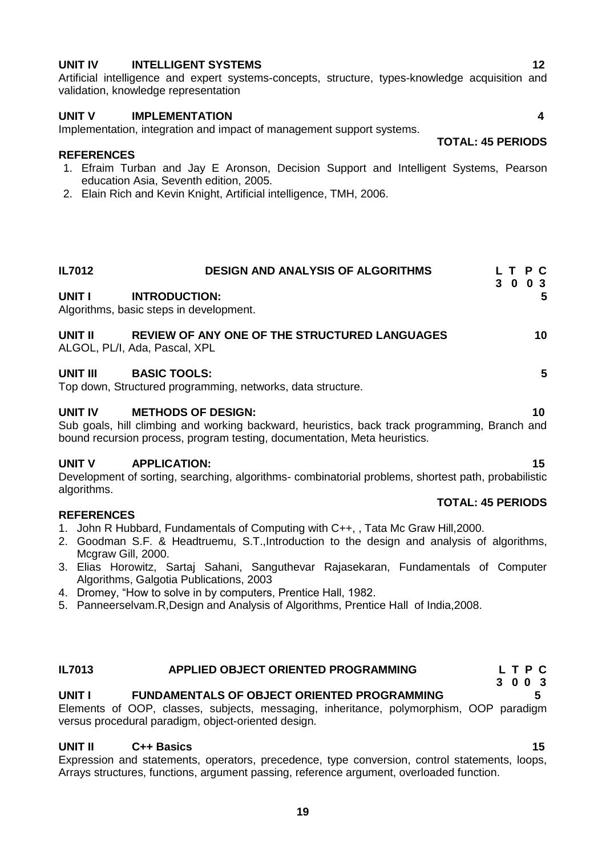### **UNIT IV INTELLIGENT SYSTEMS** 12

Artificial intelligence and expert systems-concepts, structure, types-knowledge acquisition and validation, knowledge representation

### **UNIT V IMPLEMENTATION 4**

Implementation, integration and impact of management support systems.

### **REFERENCES**

- 1. Efraim Turban and Jay E Aronson, Decision Support and Intelligent Systems, Pearson education Asia, Seventh edition, 2005.
- 2. Elain Rich and Kevin Knight, Artificial intelligence, TMH, 2006.

| <b>IL7012</b>  | <b>DESIGN AND ANALYSIS OF ALGORITHMS</b>                                                                                   | 3 | T P C<br>$\bf{0}$ | 0 <sup>3</sup> |    |
|----------------|----------------------------------------------------------------------------------------------------------------------------|---|-------------------|----------------|----|
| UNIT I         | <b>INTRODUCTION:</b><br>Algorithms, basic steps in development.                                                            |   |                   |                | 5  |
| UNIT II        | REVIEW OF ANY ONE OF THE STRUCTURED LANGUAGES<br>ALGOL, PL/I, Ada, Pascal, XPL                                             |   |                   | 10             |    |
| UNIT III       | <b>BASIC TOOLS:</b><br>Top down, Structured programming, networks, data structure.                                         |   |                   |                | 5. |
| <b>UNIT IV</b> | <b>METHODS OF DESIGN:</b><br>Sub goals, hill climbing and working backward, heuristics, back track programming, Branch and |   |                   | 10             |    |

bound recursion process, program testing, documentation, Meta heuristics.

### **UNIT V APPLICATION: 15**

Development of sorting, searching, algorithms- combinatorial problems, shortest path, probabilistic algorithms.

### **REFERENCES**

- 1. John R Hubbard, Fundamentals of Computing with C++, , Tata Mc Graw Hill,2000.
- 2. Goodman S.F. & Headtruemu, S.T.,Introduction to the design and analysis of algorithms, Mcgraw Gill, 2000.
- 3. Elias Horowitz, Sartaj Sahani, Sanguthevar Rajasekaran, Fundamentals of Computer Algorithms, Galgotia Publications, 2003
- 4. Dromey, "How to solve in by computers, Prentice Hall, 1982.
- 5. Panneerselvam.R,Design and Analysis of Algorithms, Prentice Hall of India,2008.

### **IL7013 APPLIED OBJECT ORIENTED PROGRAMMING L T P C**

### **UNIT I FUNDAMENTALS OF OBJECT ORIENTED PROGRAMMING 5**

Elements of OOP, classes, subjects, messaging, inheritance, polymorphism, OOP paradigm versus procedural paradigm, object-oriented design.

### **UNIT II C++ Basics 15**

Expression and statements, operators, precedence, type conversion, control statements, loops, Arrays structures, functions, argument passing, reference argument, overloaded function.

 **TOTAL: 45 PERIODS**

**TOTAL: 45 PERIODS**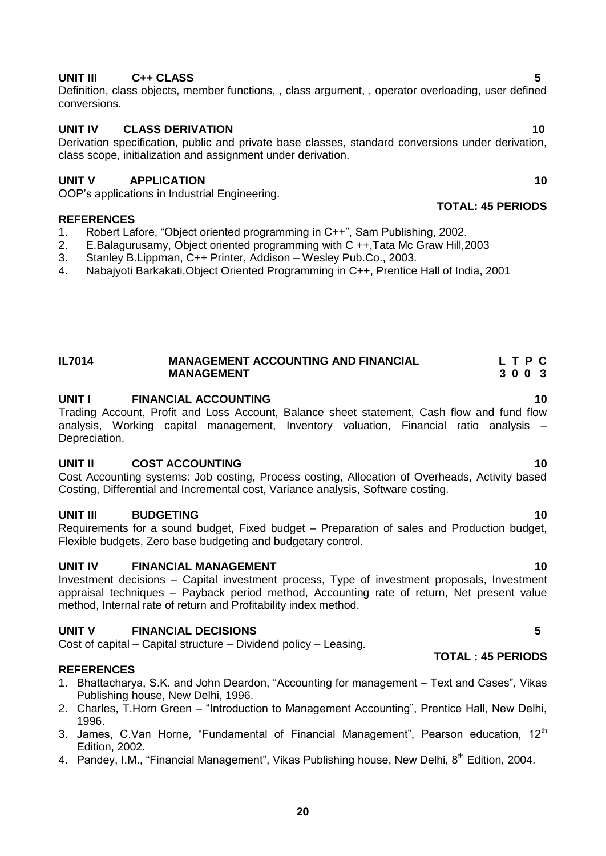## **UNIT III C++ CLASS 5**

Definition, class objects, member functions, , class argument, , operator overloading, user defined conversions.

### **UNIT IV CLASS DERIVATION** 10

Derivation specification, public and private base classes, standard conversions under derivation, class scope, initialization and assignment under derivation.

### **UNIT V APPLICATION 40**

OOP"s applications in Industrial Engineering.

### **REFERENCES**

- 1. Robert Lafore, "Object oriented programming in C++", Sam Publishing, 2002.
- 2. E.Balagurusamy, Object oriented programming with C ++,Tata Mc Graw Hill,2003
- 3. Stanley B.Lippman, C++ Printer, Addison Wesley Pub.Co., 2003.
- 4. Nabajyoti Barkakati,Object Oriented Programming in C++, Prentice Hall of India, 2001

### **IL7014 MANAGEMENT ACCOUNTING AND FINANCIAL L T P C**<br>MANAGEMENT 3 0 0 3 **MANAGEMENT**

### **UNIT I FINANCIAL ACCOUNTING 10**

Trading Account, Profit and Loss Account, Balance sheet statement, Cash flow and fund flow analysis, Working capital management, Inventory valuation, Financial ratio analysis – Depreciation.

### **UNIT II COST ACCOUNTING 10**

Cost Accounting systems: Job costing, Process costing, Allocation of Overheads, Activity based Costing, Differential and Incremental cost, Variance analysis, Software costing.

### **UNIT III BUDGETING 10**

Requirements for a sound budget, Fixed budget – Preparation of sales and Production budget, Flexible budgets, Zero base budgeting and budgetary control.

### **UNIT IV FINANCIAL MANAGEMENT 10**

Investment decisions – Capital investment process, Type of investment proposals, Investment appraisal techniques – Payback period method, Accounting rate of return, Net present value method, Internal rate of return and Profitability index method.

### **UNIT V FINANCIAL DECISIONS 5**

Cost of capital – Capital structure – Dividend policy – Leasing.

### **REFERENCES**

- 1. Bhattacharya, S.K. and John Deardon, "Accounting for management Text and Cases", Vikas Publishing house, New Delhi, 1996.
- 2. Charles, T.Horn Green "Introduction to Management Accounting", Prentice Hall, New Delhi, 1996.
- 3. James, C.Van Horne, "Fundamental of Financial Management", Pearson education,  $12<sup>th</sup>$ Edition, 2002.
- 4. Pandey, I.M., "Financial Management", Vikas Publishing house, New Delhi, 8<sup>th</sup> Edition, 2004.

### **TOTAL: 45 PERIODS**

**TOTAL : 45 PERIODS**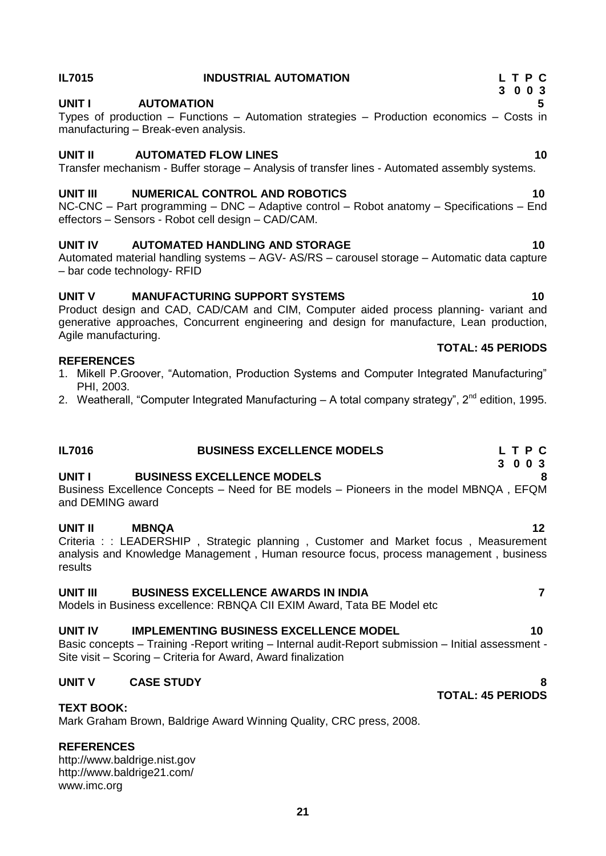# manufacturing – Break-even analysis. **UNIT II** AUTOMATED FLOW LINES 2008 2009 10 Transfer mechanism - Buffer storage – Analysis of transfer lines - Automated assembly systems. **UNIT III NUMERICAL CONTROL AND ROBOTICS 10** NC-CNC – Part programming – DNC – Adaptive control – Robot anatomy – Specifications – End effectors – Sensors - Robot cell design – CAD/CAM.

## **UNIT IV AUTOMATED HANDLING AND STORAGE 10**

Automated material handling systems – AGV- AS/RS – carousel storage – Automatic data capture – bar code technology- RFID

# **UNIT V MANUFACTURING SUPPORT SYSTEMS 10**

Product design and CAD, CAD/CAM and CIM, Computer aided process planning- variant and generative approaches, Concurrent engineering and design for manufacture, Lean production, Agile manufacturing.

## **REFERENCES**

- 1. Mikell P.Groover, "Automation, Production Systems and Computer Integrated Manufacturing" PHI, 2003.
- 2. Weatherall, "Computer Integrated Manufacturing A total company strategy", 2<sup>nd</sup> edition. 1995.

# **IL7016 BUSINESS EXCELLENCE MODELS L T P C 3 0 0 3**

# **UNIT I BUSINESS EXCELLENCE MODELS 8**

Business Excellence Concepts – Need for BE models – Pioneers in the model MBNQA , EFQM and DEMING award

# **UNIT II MBNQA 12**

Criteria : : LEADERSHIP, Strategic planning, Customer and Market focus, Measurement analysis and Knowledge Management , Human resource focus, process management , business results

# **UNIT III BUSINESS EXCELLENCE AWARDS IN INDIA 7**

Models in Business excellence: RBNQA CII EXIM Award, Tata BE Model etc

# **UNIT IV IMPLEMENTING BUSINESS EXCELLENCE MODEL 10** 10

Basic concepts – Training -Report writing – Internal audit-Report submission – Initial assessment - Site visit – Scoring – Criteria for Award, Award finalization

# **UNIT V CASE STUDY 8**

# **TEXT BOOK:**

Mark Graham Brown, Baldrige Award Winning Quality, CRC press, 2008.

### **REFERENCES**

[http://www.baldrige.nist.gov](http://www.baldrige.nist.gov/) <http://www.baldrige21.com/> [www.imc.org](http://www.imc.org/)

# Types of production – Functions – Automation strategies – Production economics – Costs in

### **UNIT I AUTOMATION 5**

# **TOTAL: 45 PERIODS**

 **TOTAL: 45 PERIODS**

### **IL7015 INDUSTRIAL AUTOMATION L T P C 3 0 0 3**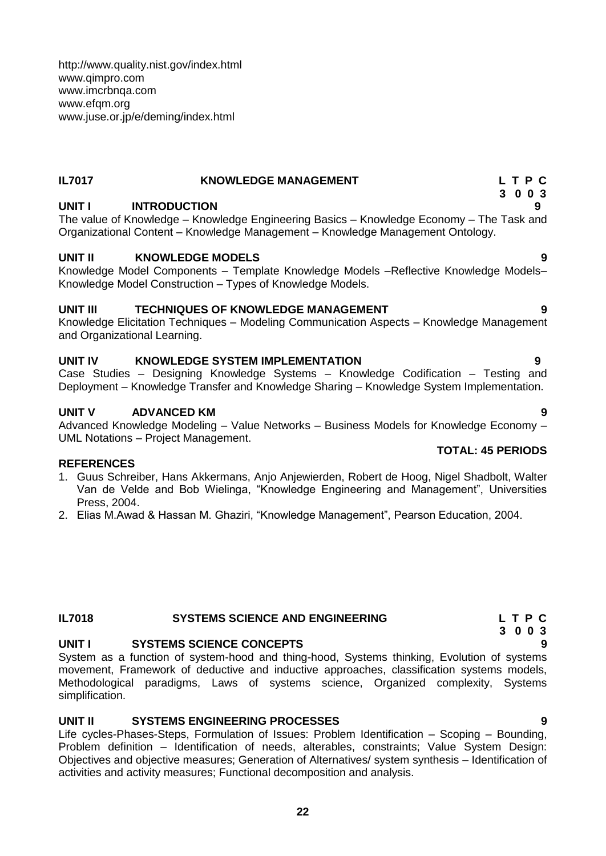<http://www.quality.nist.gov/index.html> [www.qimpro.com](file:///D:\English%20Matter\Mechanical%20Members%20List\UD\PG%20C%20&%20S%20R2013%20-%20UD\Faculty%20of%20Mech%20Engg\Academic%20Council\13th-Academic%20Council\13TH%20AC%20MINUTES\LINKED%20FILES\MECHANICAL%20BOARD\M.E.R2009-UD\IE\www.qimpro.com) [www.imcrbnqa.com](file:///D:\English%20Matter\Mechanical%20Members%20List\UD\PG%20C%20&%20S%20R2013%20-%20UD\Faculty%20of%20Mech%20Engg\Academic%20Council\13th-Academic%20Council\13TH%20AC%20MINUTES\LINKED%20FILES\MECHANICAL%20BOARD\M.E.R2009-UD\IE\www.imcrbnqa.com) [www.efqm.org](file:///D:\English%20Matter\Mechanical%20Members%20List\UD\PG%20C%20&%20S%20R2013%20-%20UD\Faculty%20of%20Mech%20Engg\Academic%20Council\13th-Academic%20Council\13TH%20AC%20MINUTES\LINKED%20FILES\MECHANICAL%20BOARD\M.E.R2009-UD\IE\www.efqm.org) [www.juse.or.jp/e/deming/index.html](file:///D:\English%20Matter\Mechanical%20Members%20List\UD\PG%20C%20&%20S%20R2013%20-%20UD\Faculty%20of%20Mech%20Engg\Academic%20Council\13th-Academic%20Council\13TH%20AC%20MINUTES\LINKED%20FILES\MECHANICAL%20BOARD\M.E.R2009-UD\IE\www.juse.or.jp\e\deming\index.html)

# **IL7017 KNOWLEDGE MANAGEMENT L T P C**

# **UNIT I INTRODUCTION**

The value of Knowledge – Knowledge Engineering Basics – Knowledge Economy – The Task and Organizational Content – Knowledge Management – Knowledge Management Ontology.

# **UNIT II KNOWLEDGE MODELS 9**

Knowledge Model Components – Template Knowledge Models –Reflective Knowledge Models– Knowledge Model Construction – Types of Knowledge Models.

# **UNIT III TECHNIQUES OF KNOWLEDGE MANAGEMENT 9**

Knowledge Elicitation Techniques – Modeling Communication Aspects – Knowledge Management and Organizational Learning.

# **UNIT IV KNOWLEDGE SYSTEM IMPLEMENTATION 9**

Case Studies – Designing Knowledge Systems – Knowledge Codification – Testing and Deployment – Knowledge Transfer and Knowledge Sharing – Knowledge System Implementation.

# **UNIT V ADVANCED KM 9**

Advanced Knowledge Modeling – Value Networks – Business Models for Knowledge Economy – UML Notations – Project Management.

# **REFERENCES**

- 1. Guus Schreiber, Hans Akkermans, Anjo Anjewierden, Robert de Hoog, Nigel Shadbolt, Walter Van de Velde and Bob Wielinga, "Knowledge Engineering and Management", Universities Press, 2004.
- 2. Elias M.Awad & Hassan M. Ghaziri, "Knowledge Management", Pearson Education, 2004.

# **IL7018 SYSTEMS SCIENCE AND ENGINEERING L T P C**

# **UNIT I SYSTEMS SCIENCE CONCEPTS 9**

System as a function of system-hood and thing-hood, Systems thinking, Evolution of systems movement, Framework of deductive and inductive approaches, classification systems models, Methodological paradigms, Laws of systems science, Organized complexity, Systems simplification.

# **UNIT II SYSTEMS ENGINEERING PROCESSES 9**

Life cycles-Phases-Steps, Formulation of Issues: Problem Identification – Scoping – Bounding, Problem definition – Identification of needs, alterables, constraints; Value System Design: Objectives and objective measures; Generation of Alternatives/ system synthesis – Identification of activities and activity measures; Functional decomposition and analysis.

# **TOTAL: 45 PERIODS**

- **3 0 0 3**
	-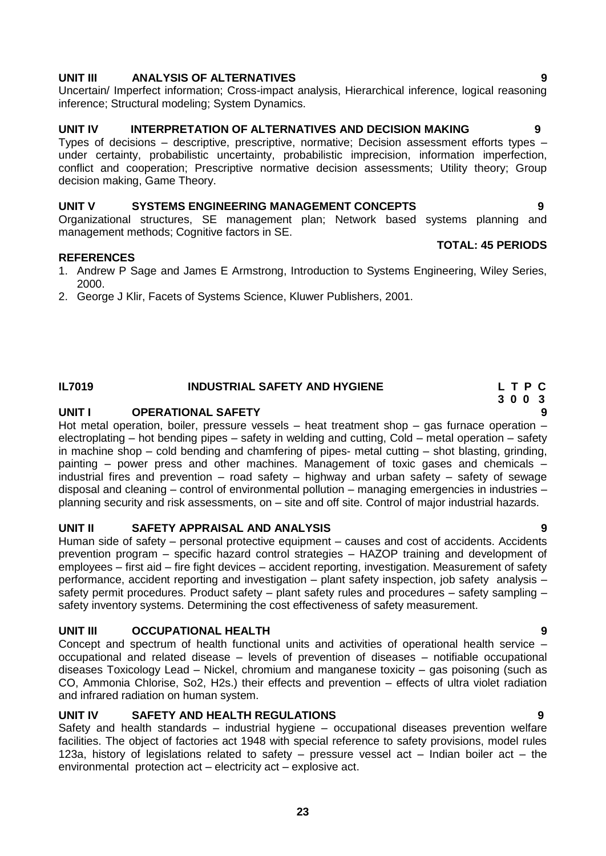# **UNIT III ANALYSIS OF ALTERNATIVES 9**

Uncertain/ Imperfect information; Cross-impact analysis, Hierarchical inference, logical reasoning inference; Structural modeling; System Dynamics.

## **UNIT IV INTERPRETATION OF ALTERNATIVES AND DECISION MAKING 9**

Types of decisions – descriptive, prescriptive, normative; Decision assessment efforts types – under certainty, probabilistic uncertainty, probabilistic imprecision, information imperfection, conflict and cooperation; Prescriptive normative decision assessments; Utility theory; Group decision making, Game Theory.

## **UNIT V SYSTEMS ENGINEERING MANAGEMENT CONCEPTS 9**

Organizational structures, SE management plan; Network based systems planning and management methods; Cognitive factors in SE.

### **REFERENCES**

- 1. Andrew P Sage and James E Armstrong, Introduction to Systems Engineering, Wiley Series, 2000.
- 2. George J Klir, Facets of Systems Science, Kluwer Publishers, 2001.

# **UNIT I OPERATIONAL SAFETY 9**

Hot metal operation, boiler, pressure vessels  $-$  heat treatment shop  $-$  gas furnace operation  $$ electroplating – hot bending pipes – safety in welding and cutting, Cold – metal operation – safety in machine shop – cold bending and chamfering of pipes- metal cutting – shot blasting, grinding, painting – power press and other machines. Management of toxic gases and chemicals – industrial fires and prevention – road safety – highway and urban safety – safety of sewage disposal and cleaning – control of environmental pollution – managing emergencies in industries – planning security and risk assessments, on – site and off site. Control of major industrial hazards.

# **UNIT II SAFETY APPRAISAL AND ANALYSIS 9**

Human side of safety – personal protective equipment – causes and cost of accidents. Accidents prevention program – specific hazard control strategies – HAZOP training and development of employees – first aid – fire fight devices – accident reporting, investigation. Measurement of safety performance, accident reporting and investigation – plant safety inspection, job safety analysis – safety permit procedures. Product safety – plant safety rules and procedures – safety sampling – safety inventory systems. Determining the cost effectiveness of safety measurement.

# **UNIT III OCCUPATIONAL HEALTH 9**

Concept and spectrum of health functional units and activities of operational health service – occupational and related disease – levels of prevention of diseases – notifiable occupational diseases Toxicology Lead – Nickel, chromium and manganese toxicity – gas poisoning (such as CO, Ammonia Chlorise, So2, H2s.) their effects and prevention – effects of ultra violet radiation and infrared radiation on human system.

# **UNIT IV SAFETY AND HEALTH REGULATIONS 9**

Safety and health standards – industrial hygiene – occupational diseases prevention welfare facilities. The object of factories act 1948 with special reference to safety provisions, model rules 123a, history of legislations related to safety – pressure vessel act – Indian boiler act – the environmental protection act – electricity act – explosive act.

# **TOTAL: 45 PERIODS**

# **IL7019 INDUSTRIAL SAFETY AND HYGIENE L T P C 3 0 0 3**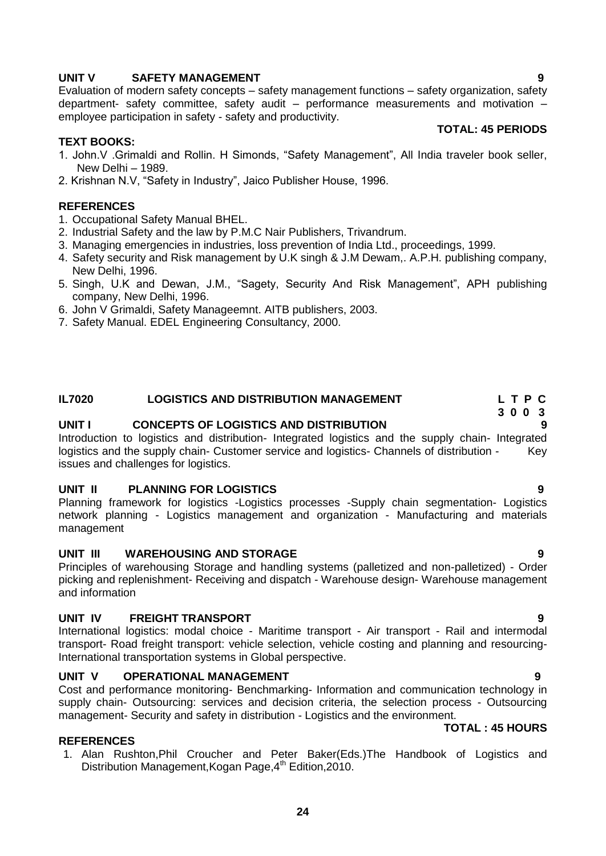Evaluation of modern safety concepts – safety management functions – safety organization, safety department- safety committee, safety audit – performance measurements and motivation – employee participation in safety - safety and productivity. **TOTAL: 45 PERIODS**

### **TEXT BOOKS:**

- 1. John.V .Grimaldi and Rollin. H Simonds, "Safety Management", All India traveler book seller, New Delhi – 1989.
- 2. Krishnan N.V, "Safety in Industry", Jaico Publisher House, 1996.

### **REFERENCES**

- 1. Occupational Safety Manual BHEL.
- 2. Industrial Safety and the law by P.M.C Nair Publishers, Trivandrum.
- 3. Managing emergencies in industries, loss prevention of India Ltd., proceedings, 1999.
- 4. Safety security and Risk management by U.K singh & J.M Dewam,. A.P.H. publishing company, New Delhi, 1996.
- 5. Singh, U.K and Dewan, J.M., "Sagety, Security And Risk Management", APH publishing company, New Delhi, 1996.
- 6. John V Grimaldi, Safety Manageemnt. AITB publishers, 2003.
- 7. Safety Manual. EDEL Engineering Consultancy, 2000.

### **IL7020 LOGISTICS AND DISTRIBUTION MANAGEMENT L T P C**

### **UNIT I CONCEPTS OF LOGISTICS AND DISTRIBUTION 9**

Introduction to logistics and distribution- Integrated logistics and the supply chain- Integrated logistics and the supply chain- Customer service and logistics- Channels of distribution - Key issues and challenges for logistics.

### **UNIT II PLANNING FOR LOGISTICS 9**

Planning framework for logistics -Logistics processes -Supply chain segmentation- Logistics network planning - Logistics management and organization - Manufacturing and materials management

### **UNIT III WAREHOUSING AND STORAGE 9**

Principles of warehousing Storage and handling systems (palletized and non-palletized) - Order picking and replenishment- Receiving and dispatch - Warehouse design- Warehouse management and information

### **UNIT IV FREIGHT TRANSPORT 9**

International logistics: modal choice - Maritime transport - Air transport - Rail and intermodal transport- Road freight transport: vehicle selection, vehicle costing and planning and resourcing-International transportation systems in Global perspective.

### **UNIT V OPERATIONAL MANAGEMENT 9**

Cost and performance monitoring- Benchmarking- Information and communication technology in supply chain- Outsourcing: services and decision criteria, the selection process - Outsourcing management- Security and safety in distribution - Logistics and the environment. **TOTAL : 45 HOURS**

### **REFERENCES**

1. Alan Rushton,Phil Croucher and Peter Baker(Eds.)The Handbook of Logistics and Distribution Management, Kogan Page, 4<sup>th</sup> Edition, 2010.

 **3 0 0 3**

### **UNIT V SAFETY MANAGEMENT 1999**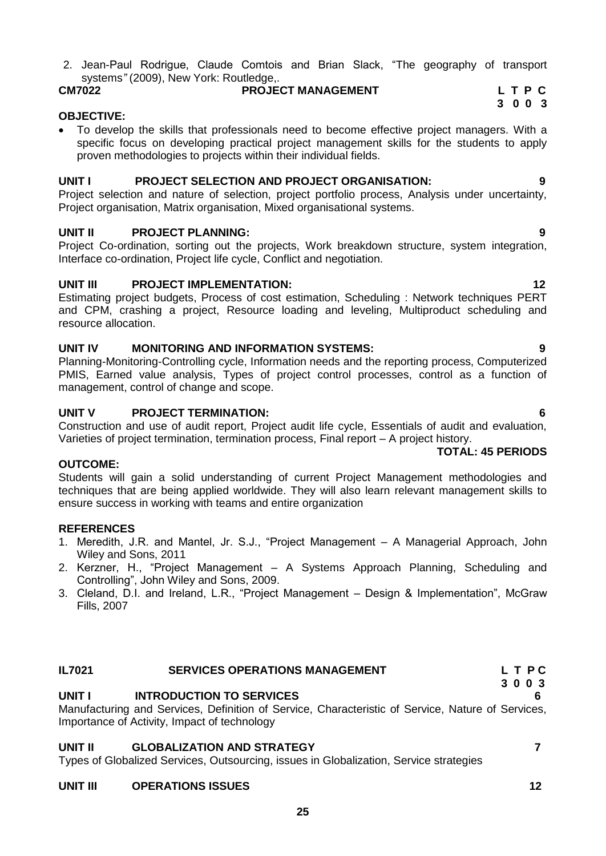2. Jean-Paul Rodrigue, Claude Comtois and Brian Slack, "The geography of transport systems*"* (2009), New York: Routledge,.

# **CM7022 PROJECT MANAGEMENT L T P C**

### **OBJECTIVE:**

 To develop the skills that professionals need to become effective project managers. With a specific focus on developing practical project management skills for the students to apply proven methodologies to projects within their individual fields.

# **UNIT I PROJECT SELECTION AND PROJECT ORGANISATION: 9**

Project selection and nature of selection, project portfolio process, Analysis under uncertainty, Project organisation, Matrix organisation, Mixed organisational systems.

# **UNIT II PROJECT PLANNING: 9**

Project Co-ordination, sorting out the projects, Work breakdown structure, system integration, Interface co-ordination, Project life cycle, Conflict and negotiation.

# **UNIT III PROJECT IMPLEMENTATION:** 12

Estimating project budgets, Process of cost estimation, Scheduling : Network techniques PERT and CPM, crashing a project, Resource loading and leveling, Multiproduct scheduling and resource allocation.

# **UNIT IV MONITORING AND INFORMATION SYSTEMS: 9**

Planning-Monitoring-Controlling cycle, Information needs and the reporting process, Computerized PMIS, Earned value analysis, Types of project control processes, control as a function of management, control of change and scope.

# **UNIT V PROJECT TERMINATION: 6**

Construction and use of audit report, Project audit life cycle, Essentials of audit and evaluation, Varieties of project termination, termination process, Final report – A project history.

# **OUTCOME:**

Students will gain a solid understanding of current Project Management methodologies and techniques that are being applied worldwide. They will also learn relevant management skills to ensure success in working with teams and entire organization

# **REFERENCES**

- 1. Meredith, J.R. and Mantel, Jr. S.J., "Project Management A Managerial Approach, John Wiley and Sons, 2011
- 2. Kerzner, H., "Project Management A Systems Approach Planning, Scheduling and Controlling", John Wiley and Sons, 2009.
- 3. Cleland, D.I. and Ireland, L.R., "Project Management Design & Implementation", McGraw Fills, 2007

# **IL7021 SERVICES OPERATIONS MANAGEMENT L T P C**

# **UNIT I INTRODUCTION TO SERVICES 6**

Manufacturing and Services, Definition of Service, Characteristic of Service, Nature of Services, Importance of Activity, Impact of technology

# **UNIT II GLOBALIZATION AND STRATEGY 7**

Types of Globalized Services, Outsourcing, issues in Globalization, Service strategies

# **UNIT III** OPERATIONS ISSUES 12

# **TOTAL: 45 PERIODS**

**3 0 0 3**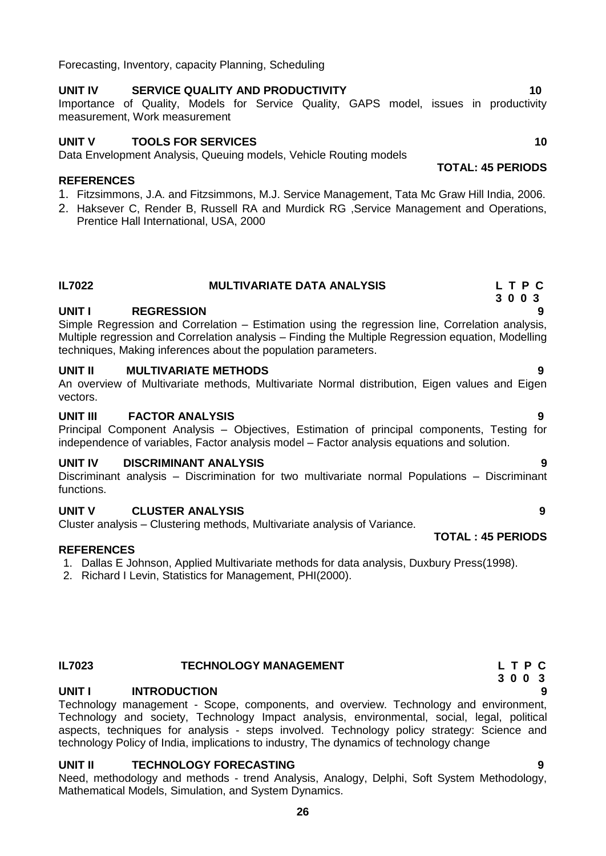Forecasting, Inventory, capacity Planning, Scheduling

# UNIT IV SERVICE QUALITY AND PRODUCTIVITY **10**

### Importance of Quality, Models for Service Quality, GAPS model, issues in productivity measurement, Work measurement

## **UNIT V TOOLS FOR SERVICES** 10 **10 10**

Data Envelopment Analysis, Queuing models, Vehicle Routing models

### **REFERENCES**

- 1. Fitzsimmons, J.A. and Fitzsimmons, M.J. Service Management, Tata Mc Graw Hill India, 2006.
- 2. Haksever C, Render B, Russell RA and Murdick RG ,Service Management and Operations, Prentice Hall International, USA, 2000

### **IL7022 MULTIVARIATE DATA ANALYSIS L T P C 3 0 0 3**

# **UNIT I REGRESSION 9**

Simple Regression and Correlation – Estimation using the regression line, Correlation analysis, Multiple regression and Correlation analysis – Finding the Multiple Regression equation, Modelling techniques, Making inferences about the population parameters.

# **UNIT II MULTIVARIATE METHODS 9**

An overview of Multivariate methods, Multivariate Normal distribution, Eigen values and Eigen vectors.

# **UNIT III FACTOR ANALYSIS 9**

Principal Component Analysis – Objectives, Estimation of principal components, Testing for independence of variables, Factor analysis model – Factor analysis equations and solution.

# **UNIT IV DISCRIMINANT ANALYSIS 9**

Discriminant analysis – Discrimination for two multivariate normal Populations – Discriminant functions.

# **UNIT V CLUSTER ANALYSIS 9**

Cluster analysis – Clustering methods, Multivariate analysis of Variance.

# **REFERENCES**

- 1. Dallas E Johnson, Applied Multivariate methods for data analysis, Duxbury Press(1998).
- 2. Richard I Levin, Statistics for Management, PHI(2000).

# **IL7023 TECHNOLOGY MANAGEMENT L T P C**

# **UNIT I INTRODUCTION 9**

Technology management - Scope, components, and overview. Technology and environment, Technology and society, Technology Impact analysis, environmental, social, legal, political aspects, techniques for analysis - steps involved. Technology policy strategy: Science and technology Policy of India, implications to industry, The dynamics of technology change

# **UNIT II TECHNOLOGY FORECASTING 9**

Need, methodology and methods - trend Analysis, Analogy, Delphi, Soft System Methodology, Mathematical Models, Simulation, and System Dynamics.

### **TOTAL: 45 PERIODS**

- 
- 
- 

 **3 0 0 3**

 **TOTAL : 45 PERIODS**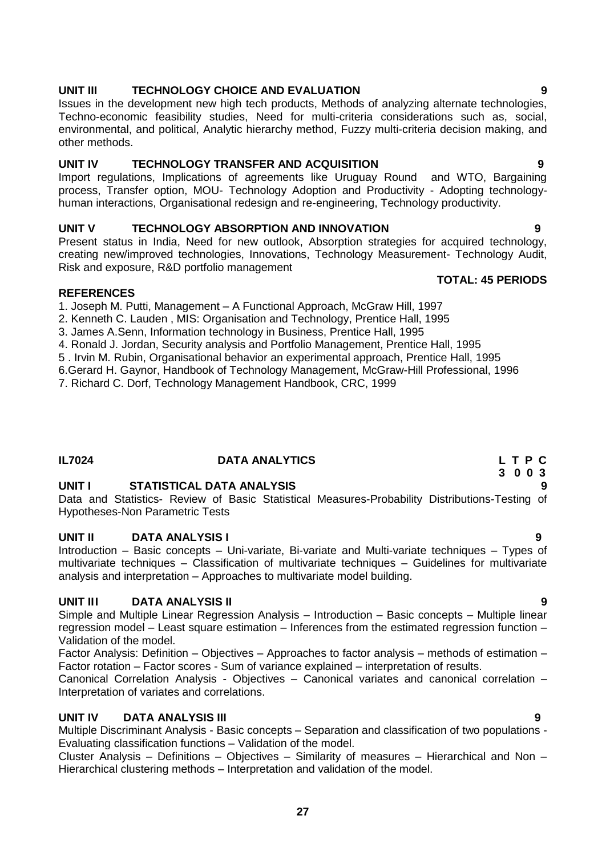### **UNIT III TECHNOLOGY CHOICE AND EVALUATION 9**

Issues in the development new high tech products, Methods of analyzing alternate technologies, Techno-economic feasibility studies, Need for multi-criteria considerations such as, social, environmental, and political, Analytic hierarchy method, Fuzzy multi-criteria decision making, and other methods.

### **UNIT IV TECHNOLOGY TRANSFER AND ACQUISITION 9**

Import regulations, Implications of agreements like Uruguay Round and WTO, Bargaining process, Transfer option, MOU- Technology Adoption and Productivity - Adopting technologyhuman interactions, Organisational redesign and re-engineering, Technology productivity.

### **UNIT V TECHNOLOGY ABSORPTION AND INNOVATION 9**

Present status in India, Need for new outlook, Absorption strategies for acquired technology, creating new/improved technologies, Innovations, Technology Measurement- Technology Audit, Risk and exposure, R&D portfolio management

### **REFERENCES**

1. Joseph M. Putti, Management – A Functional Approach, McGraw Hill, 1997

- 2. Kenneth C. Lauden , MIS: Organisation and Technology, Prentice Hall, 1995
- 3. James A.Senn, Information technology in Business, Prentice Hall, 1995

4. Ronald J. Jordan, Security analysis and Portfolio Management, Prentice Hall, 1995

- 5 . Irvin M. Rubin, Organisational behavior an experimental approach, Prentice Hall, 1995
- 6[.Gerard H. Gaynor,](http://www.amazon.com/exec/obidos/search-handle-url?%5Fencoding=UTF8&search-type=ss&index=books&field-author=Gerard%20H.%20Gaynor) Handbook of Technology Management, McGraw-Hill Professional, 1996

7. Richard C. Dorf, [Technology Management Handbook,](http://books.google.co.in/books?id=_BpFAAAACAAJ&source=gbs_other_versions_sidebar_s&cad=6) CRC, 1999

### **IL7024 DATA ANALYTICS L T P C**

# **UNIT I STATISTICAL DATA ANALYSIS 9**

Data and Statistics- Review of Basic Statistical Measures-Probability Distributions-Testing of Hypotheses-Non Parametric Tests

# **UNIT II DATA ANALYSIS I 9**

Introduction – Basic concepts – Uni-variate, Bi-variate and Multi-variate techniques – Types of multivariate techniques – Classification of multivariate techniques – Guidelines for multivariate analysis and interpretation – Approaches to multivariate model building.

# **UNIT III DATA ANALYSIS II 9**

Simple and Multiple Linear Regression Analysis – Introduction – Basic concepts – Multiple linear regression model – Least square estimation – Inferences from the estimated regression function – Validation of the model.

Factor Analysis: Definition – Objectives – Approaches to factor analysis – methods of estimation – Factor rotation – Factor scores - Sum of variance explained – interpretation of results.

Canonical Correlation Analysis - Objectives – Canonical variates and canonical correlation – Interpretation of variates and correlations.

# **UNIT IV DATA ANALYSIS III 9**

Multiple Discriminant Analysis - Basic concepts – Separation and classification of two populations - Evaluating classification functions – Validation of the model.

Cluster Analysis – Definitions – Objectives – Similarity of measures – Hierarchical and Non – Hierarchical clustering methods – Interpretation and validation of the model.

### **TOTAL: 45 PERIODS**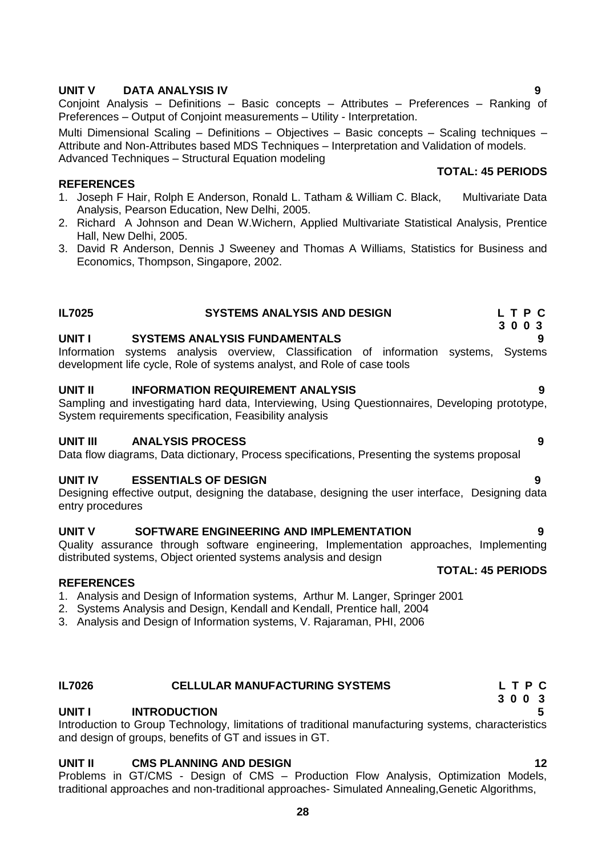## **UNIT V DATA ANALYSIS IV 9**

Conjoint Analysis – Definitions – Basic concepts – Attributes – Preferences – Ranking of Preferences – Output of Conjoint measurements – Utility - Interpretation.

Multi Dimensional Scaling – Definitions – Objectives – Basic concepts – Scaling techniques – Attribute and Non-Attributes based MDS Techniques – Interpretation and Validation of models. Advanced Techniques – Structural Equation modeling

### **REFERENCES**

- 1. Joseph F Hair, Rolph E Anderson, Ronald L. Tatham & William C. Black, Multivariate Data Analysis, Pearson Education, New Delhi, 2005.
- 2. Richard A Johnson and Dean W.Wichern, Applied Multivariate Statistical Analysis, Prentice Hall, New Delhi, 2005.
- 3. David R Anderson, Dennis J Sweeney and Thomas A Williams, Statistics for Business and Economics, Thompson, Singapore, 2002.

### **IL7025 SYSTEMS ANALYSIS AND DESIGN L T P C 3 0 0 3**

### **UNIT I SYSTEMS ANALYSIS FUNDAMENTALS 9**

Information systems analysis overview, Classification of information systems, Systems development life cycle, Role of systems analyst, and Role of case tools

### **UNIT II INFORMATION REQUIREMENT ANALYSIS 9**

Sampling and investigating hard data, Interviewing, Using Questionnaires, Developing prototype, System requirements specification, Feasibility analysis

### **UNIT III ANALYSIS PROCESS 9**

Data flow diagrams, Data dictionary, Process specifications, Presenting the systems proposal

### **UNIT IV ESSENTIALS OF DESIGN 9**

Designing effective output, designing the database, designing the user interface, Designing data entry procedures

### **UNIT V SOFTWARE ENGINEERING AND IMPLEMENTATION 9**

Quality assurance through software engineering, Implementation approaches, Implementing distributed systems, Object oriented systems analysis and design

### **REFERENCES**

- 1. Analysis and Design of Information systems, Arthur M. Langer, Springer 2001
- 2. Systems Analysis and Design, Kendall and Kendall, Prentice hall, 2004
- 3. Analysis and Design of Information systems, V. Rajaraman, PHI, 2006

### **IL7026 CELLULAR MANUFACTURING SYSTEMS L T P C**

### **UNIT I INTRODUCTION 5**

Introduction to Group Technology, limitations of traditional manufacturing systems, characteristics and design of groups, benefits of GT and issues in GT.

### **UNIT II CMS PLANNING AND DESIGN 12**

Problems in GT/CMS - Design of CMS – Production Flow Analysis, Optimization Models, traditional approaches and non-traditional approaches- Simulated Annealing,Genetic Algorithms,

# **TOTAL: 45 PERIODS**

**TOTAL: 45 PERIODS**